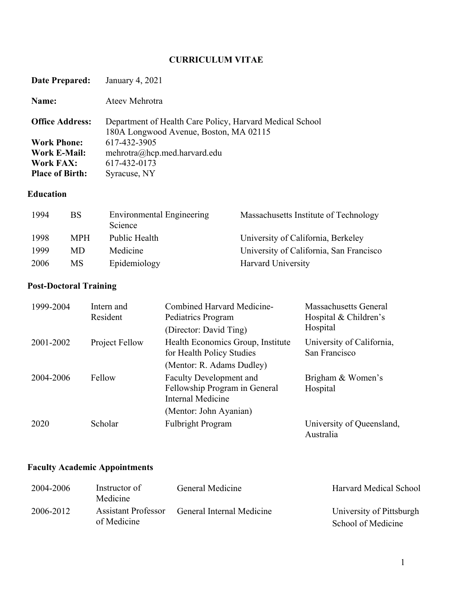# **CURRICULUM VITAE**

| Date Prepared:         | January 4, 2021                                                                                    |
|------------------------|----------------------------------------------------------------------------------------------------|
| Name:                  | Ateev Mehrotra                                                                                     |
| <b>Office Address:</b> | Department of Health Care Policy, Harvard Medical School<br>180A Longwood Avenue, Boston, MA 02115 |
| <b>Work Phone:</b>     | 617-432-3905                                                                                       |
| Work E-Mail:           | mehrotra@hcp. med. harvard.edu                                                                     |
| <b>Work FAX:</b>       | 617-432-0173                                                                                       |
| <b>Place of Birth:</b> | Syracuse, NY                                                                                       |

## **Education**

| 1994 | BS.        | Environmental Engineering<br>Science | Massachusetts Institute of Technology   |
|------|------------|--------------------------------------|-----------------------------------------|
| 1998 | <b>MPH</b> | Public Health                        | University of California, Berkeley      |
| 1999 | MD.        | Medicine                             | University of California, San Francisco |
| 2006 | MS.        | Epidemiology                         | Harvard University                      |

# **Post-Doctoral Training**

| 1999-2004 | Intern and<br>Resident | Combined Harvard Medicine-<br>Pediatrics Program                                     | Massachusetts General<br>Hospital & Children's |
|-----------|------------------------|--------------------------------------------------------------------------------------|------------------------------------------------|
|           |                        | (Director: David Ting)                                                               | Hospital                                       |
| 2001-2002 | Project Fellow         | Health Economics Group, Institute<br>for Health Policy Studies                       | University of California,<br>San Francisco     |
|           |                        | (Mentor: R. Adams Dudley)                                                            |                                                |
| 2004-2006 | Fellow                 | <b>Faculty Development and</b><br>Fellowship Program in General<br>Internal Medicine | Brigham & Women's<br>Hospital                  |
|           |                        | (Mentor: John Ayanian)                                                               |                                                |
| 2020      | Scholar                | <b>Fulbright Program</b>                                                             | University of Queensland,<br>Australia         |

# **Faculty Academic Appointments**

| 2004-2006 | Instructor of<br>Medicine | General Medicine          | <b>Harvard Medical School</b> |
|-----------|---------------------------|---------------------------|-------------------------------|
| 2006-2012 | Assistant Professor       | General Internal Medicine | University of Pittsburgh      |
|           | of Medicine               |                           | School of Medicine            |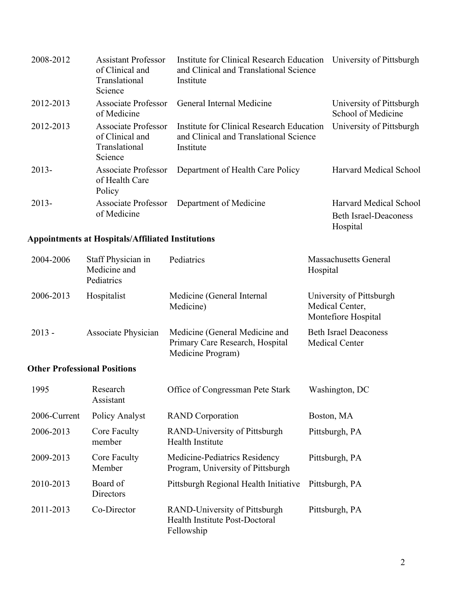| 2008-2012 | <b>Assistant Professor</b><br>of Clinical and<br>Translational<br>Science | Institute for Clinical Research Education<br>and Clinical and Translational Science<br>Institute | University of Pittsburgh                                           |
|-----------|---------------------------------------------------------------------------|--------------------------------------------------------------------------------------------------|--------------------------------------------------------------------|
| 2012-2013 | Associate Professor<br>of Medicine                                        | General Internal Medicine                                                                        | University of Pittsburgh<br>School of Medicine                     |
| 2012-2013 | Associate Professor<br>of Clinical and<br>Translational<br>Science        | Institute for Clinical Research Education<br>and Clinical and Translational Science<br>Institute | University of Pittsburgh                                           |
| $2013-$   | Associate Professor<br>of Health Care<br>Policy                           | Department of Health Care Policy                                                                 | Harvard Medical School                                             |
| $2013-$   | <b>Associate Professor</b><br>of Medicine                                 | Department of Medicine                                                                           | Harvard Medical School<br><b>Beth Israel-Deaconess</b><br>Hospital |

# **Appointments at Hospitals/Affiliated Institutions**

| 2004-2006 | Staff Physician in<br>Medicine and<br>Pediatrics | Pediatrics                                                                             | <b>Massachusetts General</b><br>Hospital                           |
|-----------|--------------------------------------------------|----------------------------------------------------------------------------------------|--------------------------------------------------------------------|
| 2006-2013 | Hospitalist                                      | Medicine (General Internal<br>Medicine)                                                | University of Pittsburgh<br>Medical Center,<br>Montefiore Hospital |
| $2013 -$  | Associate Physician                              | Medicine (General Medicine and<br>Primary Care Research, Hospital<br>Medicine Program) | <b>Beth Israel Deaconess</b><br><b>Medical Center</b>              |
|           | <b>Other Professional Positions</b>              |                                                                                        |                                                                    |

| 1995         | Research<br>Assistant  | Office of Congressman Pete Stark                                              | Washington, DC |
|--------------|------------------------|-------------------------------------------------------------------------------|----------------|
| 2006-Current | Policy Analyst         | <b>RAND</b> Corporation                                                       | Boston, MA     |
| 2006-2013    | Core Faculty<br>member | RAND-University of Pittsburgh<br><b>Health Institute</b>                      | Pittsburgh, PA |
| 2009-2013    | Core Faculty<br>Member | Medicine-Pediatrics Residency<br>Program, University of Pittsburgh            | Pittsburgh, PA |
| 2010-2013    | Board of<br>Directors  | Pittsburgh Regional Health Initiative                                         | Pittsburgh, PA |
| 2011-2013    | Co-Director            | RAND-University of Pittsburgh<br>Health Institute Post-Doctoral<br>Fellowship | Pittsburgh, PA |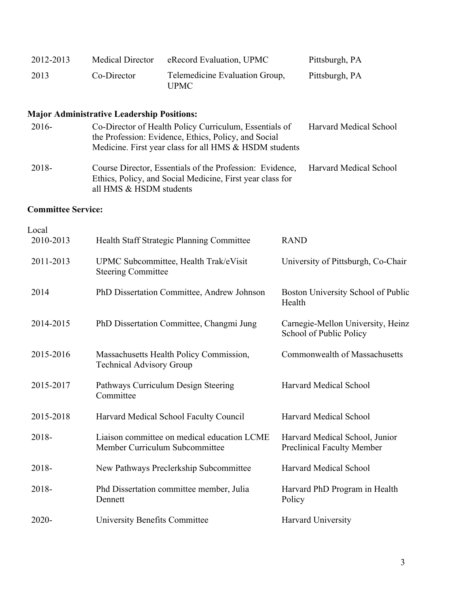| 2012-2013                 | <b>Medical Director</b>                                                    | eRecord Evaluation, UPMC                                                                                                                                                 | Pittsburgh, PA                                                      |
|---------------------------|----------------------------------------------------------------------------|--------------------------------------------------------------------------------------------------------------------------------------------------------------------------|---------------------------------------------------------------------|
| 2013                      | Co-Director                                                                | Telemedicine Evaluation Group,<br><b>UPMC</b>                                                                                                                            | Pittsburgh, PA                                                      |
|                           | <b>Major Administrative Leadership Positions:</b>                          |                                                                                                                                                                          |                                                                     |
| 2016-                     |                                                                            | Co-Director of Health Policy Curriculum, Essentials of<br>the Profession: Evidence, Ethics, Policy, and Social<br>Medicine. First year class for all HMS & HSDM students | Harvard Medical School                                              |
| 2018-                     | all HMS & HSDM students                                                    | Course Director, Essentials of the Profession: Evidence,<br>Ethics, Policy, and Social Medicine, First year class for                                                    | Harvard Medical School                                              |
| <b>Committee Service:</b> |                                                                            |                                                                                                                                                                          |                                                                     |
| Local                     |                                                                            |                                                                                                                                                                          |                                                                     |
| 2010-2013                 |                                                                            | Health Staff Strategic Planning Committee                                                                                                                                | <b>RAND</b>                                                         |
| 2011-2013                 | <b>Steering Committee</b>                                                  | UPMC Subcommittee, Health Trak/eVisit                                                                                                                                    | University of Pittsburgh, Co-Chair                                  |
| 2014                      |                                                                            | PhD Dissertation Committee, Andrew Johnson                                                                                                                               | Boston University School of Public<br>Health                        |
| 2014-2015                 |                                                                            | PhD Dissertation Committee, Changmi Jung                                                                                                                                 | Carnegie-Mellon University, Heinz<br>School of Public Policy        |
| 2015-2016                 | Massachusetts Health Policy Commission,<br><b>Technical Advisory Group</b> |                                                                                                                                                                          | Commonwealth of Massachusetts                                       |
| 2015-2017                 | Committee                                                                  | Pathways Curriculum Design Steering                                                                                                                                      | Harvard Medical School                                              |
| 2015-2018                 |                                                                            | Harvard Medical School Faculty Council                                                                                                                                   | Harvard Medical School                                              |
| 2018-                     |                                                                            | Liaison committee on medical education LCME<br>Member Curriculum Subcommittee                                                                                            | Harvard Medical School, Junior<br><b>Preclinical Faculty Member</b> |
| 2018-                     |                                                                            | New Pathways Preclerkship Subcommittee                                                                                                                                   | <b>Harvard Medical School</b>                                       |
| 2018-                     | Dennett                                                                    | Phd Dissertation committee member, Julia                                                                                                                                 | Harvard PhD Program in Health<br>Policy                             |
| 2020-                     | University Benefits Committee                                              |                                                                                                                                                                          | Harvard University                                                  |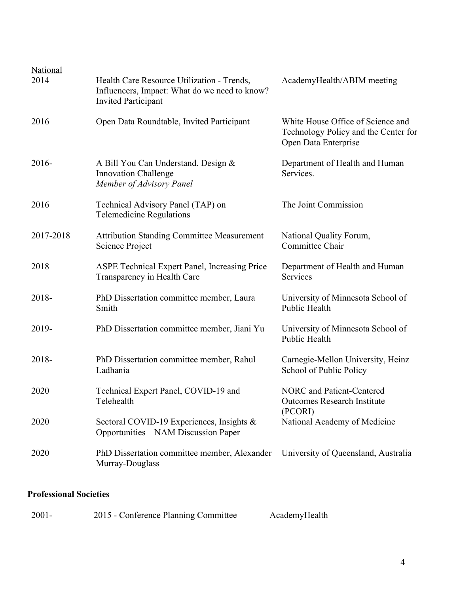| <b>National</b><br>2014 | Health Care Resource Utilization - Trends,<br>Influencers, Impact: What do we need to know?<br><b>Invited Participant</b> | AcademyHealth/ABIM meeting                                                                        |
|-------------------------|---------------------------------------------------------------------------------------------------------------------------|---------------------------------------------------------------------------------------------------|
| 2016                    | Open Data Roundtable, Invited Participant                                                                                 | White House Office of Science and<br>Technology Policy and the Center for<br>Open Data Enterprise |
| $2016-$                 | A Bill You Can Understand. Design &<br><b>Innovation Challenge</b><br>Member of Advisory Panel                            | Department of Health and Human<br>Services.                                                       |
| 2016                    | Technical Advisory Panel (TAP) on<br><b>Telemedicine Regulations</b>                                                      | The Joint Commission                                                                              |
| 2017-2018               | <b>Attribution Standing Committee Measurement</b><br>Science Project                                                      | National Quality Forum,<br>Committee Chair                                                        |
| 2018                    | <b>ASPE Technical Expert Panel, Increasing Price</b><br>Transparency in Health Care                                       | Department of Health and Human<br>Services                                                        |
| 2018-                   | PhD Dissertation committee member, Laura<br>Smith                                                                         | University of Minnesota School of<br>Public Health                                                |
| 2019-                   | PhD Dissertation committee member, Jiani Yu                                                                               | University of Minnesota School of<br>Public Health                                                |
| 2018-                   | PhD Dissertation committee member, Rahul<br>Ladhania                                                                      | Carnegie-Mellon University, Heinz<br>School of Public Policy                                      |
| 2020                    | Technical Expert Panel, COVID-19 and<br>Telehealth                                                                        | <b>NORC</b> and Patient-Centered<br><b>Outcomes Research Institute</b>                            |
| 2020                    | Sectoral COVID-19 Experiences, Insights &<br><b>Opportunities – NAM Discussion Paper</b>                                  | (PCORI)<br>National Academy of Medicine                                                           |
| 2020                    | PhD Dissertation committee member, Alexander<br>Murray-Douglass                                                           | University of Queensland, Australia                                                               |

## **Professional Societies**

| $2001 -$ | 2015 - Conference Planning Committee | AcademyHealth |
|----------|--------------------------------------|---------------|
|          |                                      |               |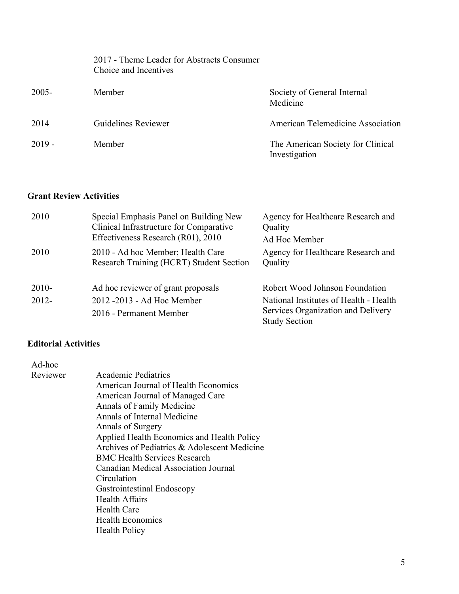|          | 2017 - Theme Leader for Abstracts Consumer<br>Choice and Incentives |                                                    |
|----------|---------------------------------------------------------------------|----------------------------------------------------|
| $2005 -$ | Member                                                              | Society of General Internal<br>Medicine            |
| 2014     | Guidelines Reviewer                                                 | American Telemedicine Association                  |
| $2019 -$ | Member                                                              | The American Society for Clinical<br>Investigation |

### **Grant Review Activities**

| 2010     | Special Emphasis Panel on Building New<br>Clinical Infrastructure for Comparative<br>Effectiveness Research (R01), 2010 | Agency for Healthcare Research and<br>Quality<br>Ad Hoc Member |
|----------|-------------------------------------------------------------------------------------------------------------------------|----------------------------------------------------------------|
| 2010     | 2010 - Ad hoc Member; Health Care<br>Research Training (HCRT) Student Section                                           | Agency for Healthcare Research and<br>Quality                  |
| $2010-$  | Ad hoc reviewer of grant proposals                                                                                      | Robert Wood Johnson Foundation                                 |
| $2012 -$ | 2012 -2013 - Ad Hoc Member                                                                                              | National Institutes of Health - Health                         |
|          | 2016 - Permanent Member                                                                                                 | Services Organization and Delivery<br><b>Study Section</b>     |

# **Editorial Activities**

 $Ad-hoc$ 

| AU-HUV   |                                              |
|----------|----------------------------------------------|
| Reviewer | <b>Academic Pediatrics</b>                   |
|          | American Journal of Health Economics         |
|          | American Journal of Managed Care             |
|          | Annals of Family Medicine                    |
|          | Annals of Internal Medicine                  |
|          | Annals of Surgery                            |
|          | Applied Health Economics and Health Policy   |
|          | Archives of Pediatrics & Adolescent Medicine |
|          | <b>BMC Health Services Research</b>          |
|          | Canadian Medical Association Journal         |
|          | Circulation                                  |
|          | Gastrointestinal Endoscopy                   |
|          | <b>Health Affairs</b>                        |
|          | Health Care                                  |
|          | <b>Health Economics</b>                      |
|          | <b>Health Policy</b>                         |
|          |                                              |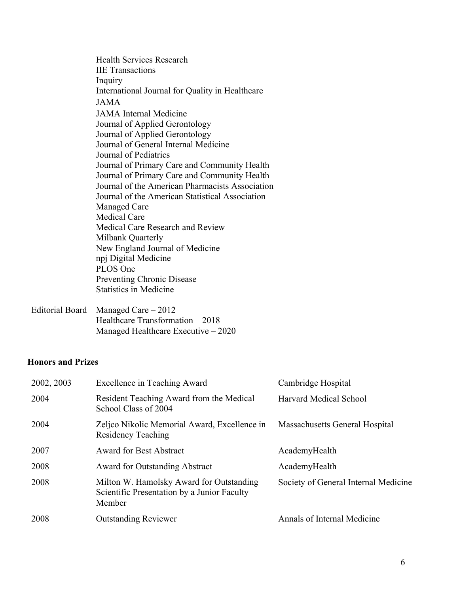Health Services Research IIE Transactions Inquiry International Journal for Quality in Healthcare JAMA JAMA Internal Medicine Journal of Applied Gerontology Journal of Applied Gerontology Journal of General Internal Medicine Journal of Pediatrics Journal of Primary Care and Community Health Journal of Primary Care and Community Health Journal of the American Pharmacists Association Journal of the American Statistical Association Managed Care Medical Care Medical Care Research and Review Milbank Quarterly New England Journal of Medicine npj Digital Medicine PLOS One Preventing Chronic Disease Statistics in Medicine

Editorial Board Managed Care – 2012 Healthcare Transformation – 2018 Managed Healthcare Executive – 2020

### **Honors and Prizes**

| 2002, 2003 | <b>Excellence in Teaching Award</b>                                                               | Cambridge Hospital                   |
|------------|---------------------------------------------------------------------------------------------------|--------------------------------------|
| 2004       | Resident Teaching Award from the Medical<br>School Class of 2004                                  | Harvard Medical School               |
| 2004       | Zeljco Nikolic Memorial Award, Excellence in<br><b>Residency Teaching</b>                         | Massachusetts General Hospital       |
| 2007       | <b>Award for Best Abstract</b>                                                                    | AcademyHealth                        |
| 2008       | <b>Award for Outstanding Abstract</b>                                                             | AcademyHealth                        |
| 2008       | Milton W. Hamolsky Award for Outstanding<br>Scientific Presentation by a Junior Faculty<br>Member | Society of General Internal Medicine |
| 2008       | <b>Outstanding Reviewer</b>                                                                       | Annals of Internal Medicine          |
|            |                                                                                                   |                                      |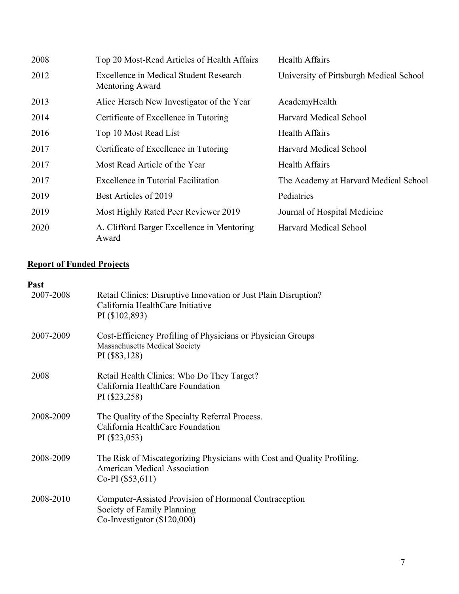| 2008 | Top 20 Most-Read Articles of Health Affairs               | Health Affairs                          |
|------|-----------------------------------------------------------|-----------------------------------------|
| 2012 | Excellence in Medical Student Research<br>Mentoring Award | University of Pittsburgh Medical School |
| 2013 | Alice Hersch New Investigator of the Year                 | AcademyHealth                           |
| 2014 | Certificate of Excellence in Tutoring                     | Harvard Medical School                  |
| 2016 | Top 10 Most Read List                                     | <b>Health Affairs</b>                   |
| 2017 | Certificate of Excellence in Tutoring                     | Harvard Medical School                  |
| 2017 | Most Read Article of the Year                             | <b>Health Affairs</b>                   |
| 2017 | Excellence in Tutorial Facilitation                       | The Academy at Harvard Medical School   |
| 2019 | Best Articles of 2019                                     | Pediatrics                              |
| 2019 | Most Highly Rated Peer Reviewer 2019                      | Journal of Hospital Medicine            |
| 2020 | A. Clifford Barger Excellence in Mentoring<br>Award       | Harvard Medical School                  |

## **Report of Funded Projects**

### **Past**

| 2007-2008 | Retail Clinics: Disruptive Innovation or Just Plain Disruption?<br>California HealthCare Initiative<br>PI (\$102,893)                |
|-----------|--------------------------------------------------------------------------------------------------------------------------------------|
| 2007-2009 | Cost-Efficiency Profiling of Physicians or Physician Groups<br><b>Massachusetts Medical Society</b><br>PI (\$83,128)                 |
| 2008      | Retail Health Clinics: Who Do They Target?<br>California HealthCare Foundation<br>PI (\$23,258)                                      |
| 2008-2009 | The Quality of the Specialty Referral Process.<br>California HealthCare Foundation<br>PI (\$23,053)                                  |
| 2008-2009 | The Risk of Miscategorizing Physicians with Cost and Quality Profiling.<br><b>American Medical Association</b><br>$Co-PI($ \$53,611) |
| 2008-2010 | Computer-Assisted Provision of Hormonal Contraception<br>Society of Family Planning<br>Co-Investigator $(\$120,000)$                 |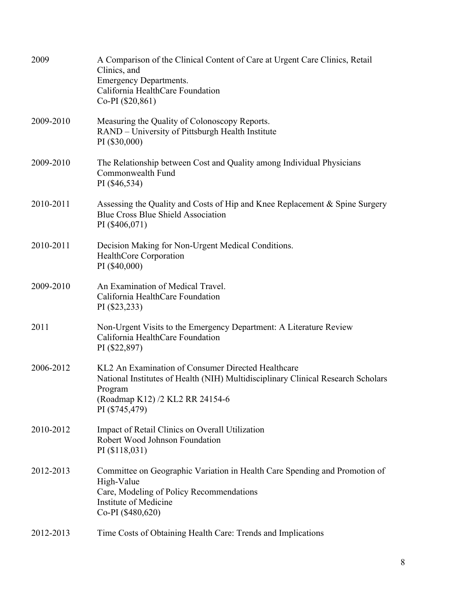| 2009      | A Comparison of the Clinical Content of Care at Urgent Care Clinics, Retail<br>Clinics, and<br><b>Emergency Departments.</b><br>California HealthCare Foundation<br>Co-PI (\$20,861)                   |
|-----------|--------------------------------------------------------------------------------------------------------------------------------------------------------------------------------------------------------|
| 2009-2010 | Measuring the Quality of Colonoscopy Reports.<br>RAND – University of Pittsburgh Health Institute<br>PI (\$30,000)                                                                                     |
| 2009-2010 | The Relationship between Cost and Quality among Individual Physicians<br>Commonwealth Fund<br>PI (\$46,534)                                                                                            |
| 2010-2011 | Assessing the Quality and Costs of Hip and Knee Replacement & Spine Surgery<br><b>Blue Cross Blue Shield Association</b><br>PI (\$406,071)                                                             |
| 2010-2011 | Decision Making for Non-Urgent Medical Conditions.<br>HealthCore Corporation<br>PI (\$40,000)                                                                                                          |
| 2009-2010 | An Examination of Medical Travel.<br>California HealthCare Foundation<br>PI (\$23,233)                                                                                                                 |
| 2011      | Non-Urgent Visits to the Emergency Department: A Literature Review<br>California HealthCare Foundation<br>PI (\$22,897)                                                                                |
| 2006-2012 | KL2 An Examination of Consumer Directed Healthcare<br>National Institutes of Health (NIH) Multidisciplinary Clinical Research Scholars<br>Program<br>(Roadmap K12) /2 KL2 RR 24154-6<br>PI (\$745,479) |
| 2010-2012 | Impact of Retail Clinics on Overall Utilization<br>Robert Wood Johnson Foundation<br>PI (\$118,031)                                                                                                    |
| 2012-2013 | Committee on Geographic Variation in Health Care Spending and Promotion of<br>High-Value<br>Care, Modeling of Policy Recommendations<br>Institute of Medicine<br>Co-PI (\$480,620)                     |
| 2012-2013 | Time Costs of Obtaining Health Care: Trends and Implications                                                                                                                                           |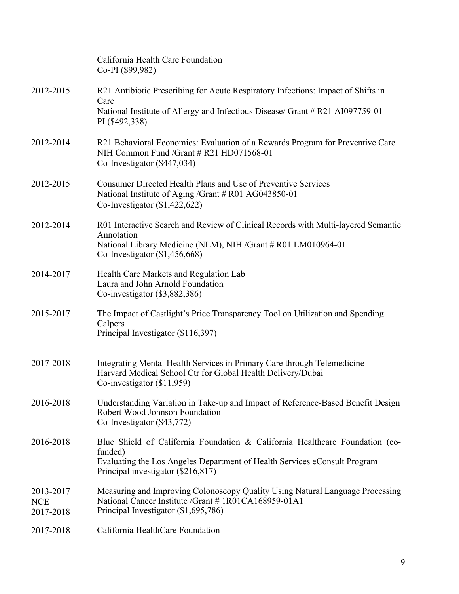|                                      | California Health Care Foundation<br>Co-PI (\$99,982)                                                                                                                          |
|--------------------------------------|--------------------------------------------------------------------------------------------------------------------------------------------------------------------------------|
| 2012-2015                            | R21 Antibiotic Prescribing for Acute Respiratory Infections: Impact of Shifts in<br>Care<br>National Institute of Allergy and Infectious Disease/ Grant # R21 AI097759-01      |
|                                      | PI (\$492,338)                                                                                                                                                                 |
| 2012-2014                            | R21 Behavioral Economics: Evaluation of a Rewards Program for Preventive Care<br>NIH Common Fund /Grant # R21 HD071568-01<br>Co-Investigator (\$447,034)                       |
| 2012-2015                            | <b>Consumer Directed Health Plans and Use of Preventive Services</b><br>National Institute of Aging /Grant # R01 AG043850-01<br>Co-Investigator $(\$1,422,622)$                |
| 2012-2014                            | R01 Interactive Search and Review of Clinical Records with Multi-layered Semantic<br>Annotation                                                                                |
|                                      | National Library Medicine (NLM), NIH /Grant # R01 LM010964-01<br>Co-Investigator $(\$1,456,668)$                                                                               |
| 2014-2017                            | Health Care Markets and Regulation Lab<br>Laura and John Arnold Foundation<br>Co-investigator $(\$3,882,386)$                                                                  |
| 2015-2017                            | The Impact of Castlight's Price Transparency Tool on Utilization and Spending<br>Calpers<br>Principal Investigator (\$116,397)                                                 |
| 2017-2018                            | Integrating Mental Health Services in Primary Care through Telemedicine<br>Harvard Medical School Ctr for Global Health Delivery/Dubai<br>Co-investigator $(\$11,959)$         |
| 2016-2018                            | Understanding Variation in Take-up and Impact of Reference-Based Benefit Design<br>Robert Wood Johnson Foundation<br>Co-Investigator (\$43,772)                                |
| 2016-2018                            | Blue Shield of California Foundation & California Healthcare Foundation (co-<br>funded)                                                                                        |
|                                      | Evaluating the Los Angeles Department of Health Services eConsult Program<br>Principal investigator (\$216,817)                                                                |
| 2013-2017<br><b>NCE</b><br>2017-2018 | Measuring and Improving Colonoscopy Quality Using Natural Language Processing<br>National Cancer Institute / Grant # 1R01CA168959-01A1<br>Principal Investigator (\$1,695,786) |
| 2017-2018                            | California HealthCare Foundation                                                                                                                                               |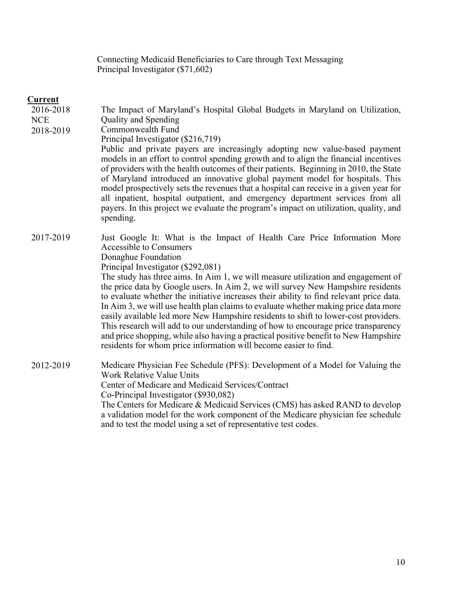Connecting Medicaid Beneficiaries to Care through Text Messaging Principal Investigator (\$71,602)

### **Current**

| 2016-2018<br><b>NCE</b><br>2018-2019 | The Impact of Maryland's Hospital Global Budgets in Maryland on Utilization,<br>Quality and Spending<br>Commonwealth Fund<br>Principal Investigator (\$216,719)<br>Public and private payers are increasingly adopting new value-based payment<br>models in an effort to control spending growth and to align the financial incentives<br>of providers with the health outcomes of their patients. Beginning in 2010, the State<br>of Maryland introduced an innovative global payment model for hospitals. This<br>model prospectively sets the revenues that a hospital can receive in a given year for<br>all inpatient, hospital outpatient, and emergency department services from all<br>payers. In this project we evaluate the program's impact on utilization, quality, and<br>spending. |
|--------------------------------------|---------------------------------------------------------------------------------------------------------------------------------------------------------------------------------------------------------------------------------------------------------------------------------------------------------------------------------------------------------------------------------------------------------------------------------------------------------------------------------------------------------------------------------------------------------------------------------------------------------------------------------------------------------------------------------------------------------------------------------------------------------------------------------------------------|
| 2017-2019                            | Just Google It: What is the Impact of Health Care Price Information More<br><b>Accessible to Consumers</b><br>Donaghue Foundation<br>Principal Investigator (\$292,081)<br>The study has three aims. In Aim 1, we will measure utilization and engagement of<br>the price data by Google users. In Aim 2, we will survey New Hampshire residents<br>to evaluate whether the initiative increases their ability to find relevant price data.                                                                                                                                                                                                                                                                                                                                                       |
|                                      | In Aim 3, we will use health plan claims to evaluate whether making price data more<br>easily available led more New Hampshire residents to shift to lower-cost providers.<br>This research will add to our understanding of how to encourage price transparency<br>and price shopping, while also having a practical positive benefit to New Hampshire<br>residents for whom price information will become easier to find.                                                                                                                                                                                                                                                                                                                                                                       |
| 2012-2019                            | Medicare Physician Fee Schedule (PFS): Development of a Model for Valuing the<br>Work Relative Value Units<br>Center of Medicare and Medicaid Services/Contract<br>Co-Principal Investigator (\$930,082)<br>The Centers for Medicare & Medicaid Services (CMS) has asked RAND to develop<br>a validation model for the work component of the Medicare physician fee schedule<br>and to test the model using a set of representative test codes.                                                                                                                                                                                                                                                                                                                                                   |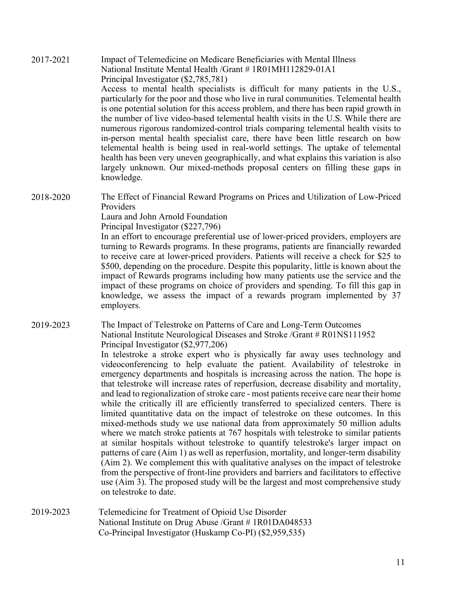2017-2021 Impact of Telemedicine on Medicare Beneficiaries with Mental Illness National Institute Mental Health /Grant # 1R01MH112829-01A1 Principal Investigator (\$2,785,781) Access to mental health specialists is difficult for many patients in the U.S., particularly for the poor and those who live in rural communities. Telemental health is one potential solution for this access problem, and there has been rapid growth in the number of live video-based telemental health visits in the U.S. While there are numerous rigorous randomized-control trials comparing telemental health visits to in-person mental health specialist care, there have been little research on how telemental health is being used in real-world settings. The uptake of telemental health has been very uneven geographically, and what explains this variation is also largely unknown. Our mixed-methods proposal centers on filling these gaps in knowledge.

2018-2020 The Effect of Financial Reward Programs on Prices and Utilization of Low-Priced Providers

Laura and John Arnold Foundation

Principal Investigator (\$227,796)

In an effort to encourage preferential use of lower-priced providers, employers are turning to Rewards programs. In these programs, patients are financially rewarded to receive care at lower-priced providers. Patients will receive a check for \$25 to \$500, depending on the procedure. Despite this popularity, little is known about the impact of Rewards programs including how many patients use the service and the impact of these programs on choice of providers and spending. To fill this gap in knowledge, we assess the impact of a rewards program implemented by 37 employers.

2019-2023 The Impact of Telestroke on Patterns of Care and Long-Term Outcomes National Institute Neurological Diseases and Stroke /Grant # R01NS111952 Principal Investigator (\$2,977,206)

> In telestroke a stroke expert who is physically far away uses technology and videoconferencing to help evaluate the patient. Availability of telestroke in emergency departments and hospitals is increasing across the nation. The hope is that telestroke will increase rates of reperfusion, decrease disability and mortality, and lead to regionalization of stroke care - most patients receive care near their home while the critically ill are efficiently transferred to specialized centers. There is limited quantitative data on the impact of telestroke on these outcomes. In this mixed-methods study we use national data from approximately 50 million adults where we match stroke patients at 767 hospitals with telestroke to similar patients at similar hospitals without telestroke to quantify telestroke's larger impact on patterns of care (Aim 1) as well as reperfusion, mortality, and longer-term disability (Aim 2). We complement this with qualitative analyses on the impact of telestroke from the perspective of front-line providers and barriers and facilitators to effective use (Aim 3). The proposed study will be the largest and most comprehensive study on telestroke to date.

2019-2023 Telemedicine for Treatment of Opioid Use Disorder National Institute on Drug Abuse /Grant # 1R01DA048533 Co-Principal Investigator (Huskamp Co-PI) (\$2,959,535)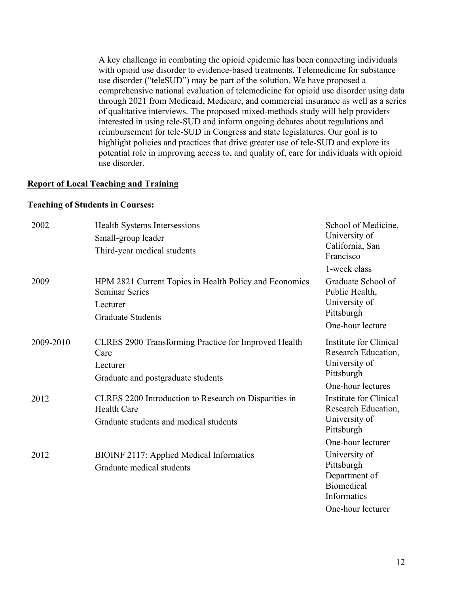A key challenge in combating the opioid epidemic has been connecting individuals with opioid use disorder to evidence-based treatments. Telemedicine for substance use disorder ("teleSUD") may be part of the solution. We have proposed a comprehensive national evaluation of telemedicine for opioid use disorder using data through 2021 from Medicaid, Medicare, and commercial insurance as well as a series of qualitative interviews. The proposed mixed-methods study will help providers interested in using tele-SUD and inform ongoing debates about regulations and reimbursement for tele-SUD in Congress and state legislatures. Our goal is to highlight policies and practices that drive greater use of tele-SUD and explore its potential role in improving access to, and quality of, care for individuals with opioid use disorder.

### **Report of Local Teaching and Training**

#### **Teaching of Students in Courses:**

| 2002      | Health Systems Intersessions<br>Small-group leader<br>Third-year medical students                                       | School of Medicine,<br>University of<br>California, San<br>Francisco                                    |
|-----------|-------------------------------------------------------------------------------------------------------------------------|---------------------------------------------------------------------------------------------------------|
| 2009      | HPM 2821 Current Topics in Health Policy and Economics<br><b>Seminar Series</b><br>Lecturer<br><b>Graduate Students</b> | 1-week class<br>Graduate School of<br>Public Health,<br>University of<br>Pittsburgh<br>One-hour lecture |
| 2009-2010 | CLRES 2900 Transforming Practice for Improved Health<br>Care<br>Lecturer<br>Graduate and postgraduate students          | Institute for Clinical<br>Research Education,<br>University of<br>Pittsburgh<br>One-hour lectures       |
| 2012      | CLRES 2200 Introduction to Research on Disparities in<br><b>Health Care</b><br>Graduate students and medical students   | Institute for Clinical<br>Research Education,<br>University of<br>Pittsburgh<br>One-hour lecturer       |
| 2012      | <b>BIOINF 2117: Applied Medical Informatics</b><br>Graduate medical students                                            | University of<br>Pittsburgh<br>Department of<br><b>Biomedical</b><br>Informatics<br>One-hour lecturer   |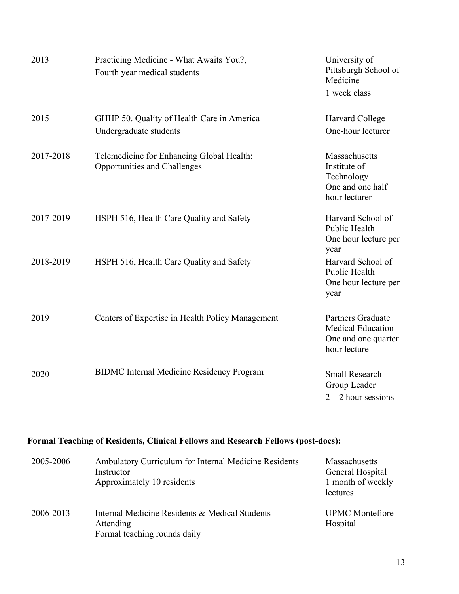| 2013      | Practicing Medicine - What Awaits You?,<br>Fourth year medical students   | University of<br>Pittsburgh School of<br>Medicine<br>1 week class                           |
|-----------|---------------------------------------------------------------------------|---------------------------------------------------------------------------------------------|
| 2015      | GHHP 50. Quality of Health Care in America<br>Undergraduate students      | Harvard College<br>One-hour lecturer                                                        |
| 2017-2018 | Telemedicine for Enhancing Global Health:<br>Opportunities and Challenges | Massachusetts<br>Institute of<br>Technology<br>One and one half<br>hour lecturer            |
| 2017-2019 | HSPH 516, Health Care Quality and Safety                                  | Harvard School of<br>Public Health<br>One hour lecture per<br>year                          |
| 2018-2019 | HSPH 516, Health Care Quality and Safety                                  | Harvard School of<br>Public Health<br>One hour lecture per<br>year                          |
| 2019      | Centers of Expertise in Health Policy Management                          | <b>Partners Graduate</b><br><b>Medical Education</b><br>One and one quarter<br>hour lecture |
| 2020      | <b>BIDMC</b> Internal Medicine Residency Program                          | <b>Small Research</b><br>Group Leader<br>$2 - 2$ hour sessions                              |

#### **Formal Teaching of Residents, Clinical Fellows and Research Fellows (post-docs):**

| 2005-2006 | Ambulatory Curriculum for Internal Medicine Residents<br>Instructor<br>Approximately 10 residents | Massachusetts<br>General Hospital<br>1 month of weekly<br>lectures |
|-----------|---------------------------------------------------------------------------------------------------|--------------------------------------------------------------------|
| 2006-2013 | Internal Medicine Residents & Medical Students<br>Attending<br>Formal teaching rounds daily       | <b>UPMC</b> Montefiore<br>Hospital                                 |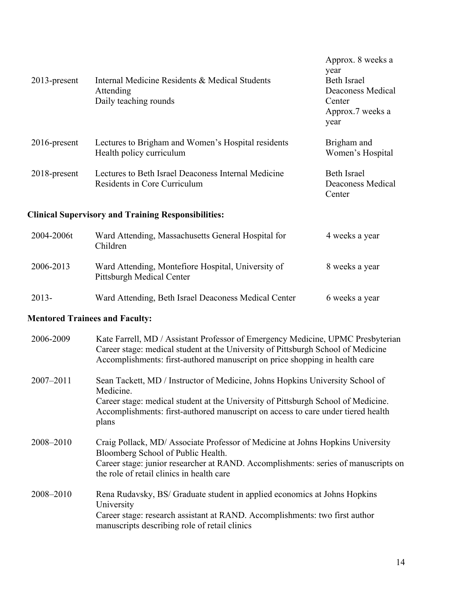| $2013$ -present                                            | Internal Medicine Residents & Medical Students<br>Attending<br>Daily teaching rounds | Approx. 8 weeks a<br>year<br><b>Beth Israel</b><br>Deaconess Medical<br>Center<br>Approx.7 weeks a<br>year |
|------------------------------------------------------------|--------------------------------------------------------------------------------------|------------------------------------------------------------------------------------------------------------|
| 2016-present                                               | Lectures to Brigham and Women's Hospital residents<br>Health policy curriculum       | Brigham and<br>Women's Hospital                                                                            |
| $2018$ -present                                            | Lectures to Beth Israel Deaconess Internal Medicine<br>Residents in Core Curriculum  | <b>Beth Israel</b><br>Deaconess Medical<br>Center                                                          |
| <b>Clinical Supervisory and Training Responsibilities:</b> |                                                                                      |                                                                                                            |
| 2004-2006t                                                 | Ward Attending, Massachusetts General Hospital for<br>Children                       | 4 weeks a year                                                                                             |
| 2006-2013                                                  | Ward Attending, Montefiore Hospital, University of<br>Pittsburgh Medical Center      | 8 weeks a year                                                                                             |
| 2013-                                                      | Ward Attending, Beth Israel Deaconess Medical Center                                 | 6 weeks a year                                                                                             |

# **Mentored Trainees and Faculty:**

| 2006-2009     | Kate Farrell, MD / Assistant Professor of Emergency Medicine, UPMC Presbyterian<br>Career stage: medical student at the University of Pittsburgh School of Medicine<br>Accomplishments: first-authored manuscript on price shopping in health care |
|---------------|----------------------------------------------------------------------------------------------------------------------------------------------------------------------------------------------------------------------------------------------------|
| $2007 - 2011$ | Sean Tackett, MD / Instructor of Medicine, Johns Hopkins University School of<br>Medicine.                                                                                                                                                         |
|               | Career stage: medical student at the University of Pittsburgh School of Medicine.<br>Accomplishments: first-authored manuscript on access to care under tiered health<br>plans                                                                     |
| 2008-2010     | Craig Pollack, MD/ Associate Professor of Medicine at Johns Hopkins University<br>Bloomberg School of Public Health.                                                                                                                               |
|               | Career stage: junior researcher at RAND. Accomplishments: series of manuscripts on<br>the role of retail clinics in health care                                                                                                                    |
| 2008-2010     | Rena Rudavsky, BS/ Graduate student in applied economics at Johns Hopkins<br>University                                                                                                                                                            |
|               | Career stage: research assistant at RAND. Accomplishments: two first author<br>manuscripts describing role of retail clinics                                                                                                                       |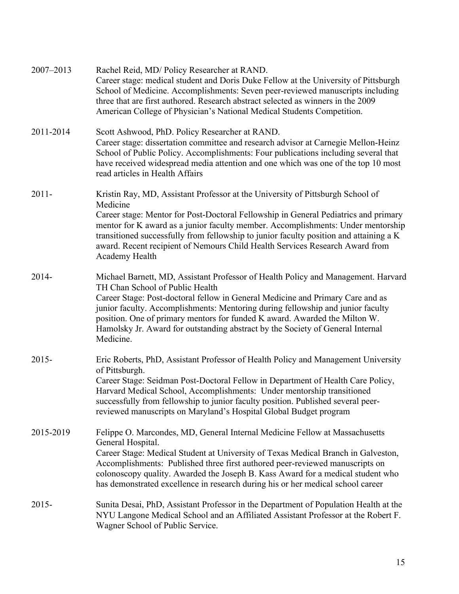| 2007-2013 | Rachel Reid, MD/ Policy Researcher at RAND.<br>Career stage: medical student and Doris Duke Fellow at the University of Pittsburgh<br>School of Medicine. Accomplishments: Seven peer-reviewed manuscripts including<br>three that are first authored. Research abstract selected as winners in the 2009<br>American College of Physician's National Medical Students Competition.                                                                                     |
|-----------|------------------------------------------------------------------------------------------------------------------------------------------------------------------------------------------------------------------------------------------------------------------------------------------------------------------------------------------------------------------------------------------------------------------------------------------------------------------------|
| 2011-2014 | Scott Ashwood, PhD. Policy Researcher at RAND.<br>Career stage: dissertation committee and research advisor at Carnegie Mellon-Heinz<br>School of Public Policy. Accomplishments: Four publications including several that<br>have received widespread media attention and one which was one of the top 10 most<br>read articles in Health Affairs                                                                                                                     |
| $2011 -$  | Kristin Ray, MD, Assistant Professor at the University of Pittsburgh School of<br>Medicine<br>Career stage: Mentor for Post-Doctoral Fellowship in General Pediatrics and primary<br>mentor for K award as a junior faculty member. Accomplishments: Under mentorship<br>transitioned successfully from fellowship to junior faculty position and attaining a K<br>award. Recent recipient of Nemours Child Health Services Research Award from<br>Academy Health      |
| 2014-     | Michael Barnett, MD, Assistant Professor of Health Policy and Management. Harvard<br>TH Chan School of Public Health<br>Career Stage: Post-doctoral fellow in General Medicine and Primary Care and as<br>junior faculty. Accomplishments: Mentoring during fellowship and junior faculty<br>position. One of primary mentors for funded K award. Awarded the Milton W.<br>Hamolsky Jr. Award for outstanding abstract by the Society of General Internal<br>Medicine. |
| $2015 -$  | Eric Roberts, PhD, Assistant Professor of Health Policy and Management University<br>of Pittsburgh.<br>Career Stage: Seidman Post-Doctoral Fellow in Department of Health Care Policy,<br>Harvard Medical School, Accomplishments: Under mentorship transitioned<br>successfully from fellowship to junior faculty position. Published several peer-<br>reviewed manuscripts on Maryland's Hospital Global Budget program                                              |
| 2015-2019 | Felippe O. Marcondes, MD, General Internal Medicine Fellow at Massachusetts<br>General Hospital.<br>Career Stage: Medical Student at University of Texas Medical Branch in Galveston,<br>Accomplishments: Published three first authored peer-reviewed manuscripts on<br>colonoscopy quality. Awarded the Joseph B. Kass Award for a medical student who<br>has demonstrated excellence in research during his or her medical school career                            |
| $2015 -$  | Sunita Desai, PhD, Assistant Professor in the Department of Population Health at the<br>NYU Langone Medical School and an Affiliated Assistant Professor at the Robert F.<br>Wagner School of Public Service.                                                                                                                                                                                                                                                          |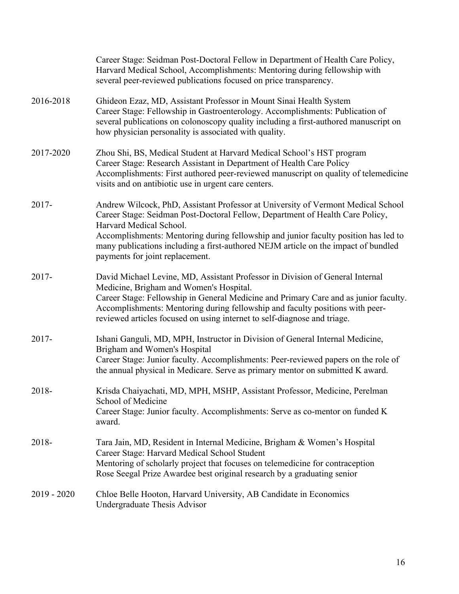|               | Career Stage: Seidman Post-Doctoral Fellow in Department of Health Care Policy,<br>Harvard Medical School, Accomplishments: Mentoring during fellowship with<br>several peer-reviewed publications focused on price transparency.                                                                                                                                                                            |
|---------------|--------------------------------------------------------------------------------------------------------------------------------------------------------------------------------------------------------------------------------------------------------------------------------------------------------------------------------------------------------------------------------------------------------------|
| 2016-2018     | Ghideon Ezaz, MD, Assistant Professor in Mount Sinai Health System<br>Career Stage: Fellowship in Gastroenterology. Accomplishments: Publication of<br>several publications on colonoscopy quality including a first-authored manuscript on<br>how physician personality is associated with quality.                                                                                                         |
| 2017-2020     | Zhou Shi, BS, Medical Student at Harvard Medical School's HST program<br>Career Stage: Research Assistant in Department of Health Care Policy<br>Accomplishments: First authored peer-reviewed manuscript on quality of telemedicine<br>visits and on antibiotic use in urgent care centers.                                                                                                                 |
| $2017 -$      | Andrew Wilcock, PhD, Assistant Professor at University of Vermont Medical School<br>Career Stage: Seidman Post-Doctoral Fellow, Department of Health Care Policy,<br>Harvard Medical School.<br>Accomplishments: Mentoring during fellowship and junior faculty position has led to<br>many publications including a first-authored NEJM article on the impact of bundled<br>payments for joint replacement. |
| $2017 -$      | David Michael Levine, MD, Assistant Professor in Division of General Internal<br>Medicine, Brigham and Women's Hospital.<br>Career Stage: Fellowship in General Medicine and Primary Care and as junior faculty.<br>Accomplishments: Mentoring during fellowship and faculty positions with peer-<br>reviewed articles focused on using internet to self-diagnose and triage.                                |
| $2017 -$      | Ishani Ganguli, MD, MPH, Instructor in Division of General Internal Medicine,<br>Brigham and Women's Hospital<br>Career Stage: Junior faculty. Accomplishments: Peer-reviewed papers on the role of<br>the annual physical in Medicare. Serve as primary mentor on submitted K award.                                                                                                                        |
| 2018-         | Krisda Chaiyachati, MD, MPH, MSHP, Assistant Professor, Medicine, Perelman<br>School of Medicine<br>Career Stage: Junior faculty. Accomplishments: Serve as co-mentor on funded K<br>award.                                                                                                                                                                                                                  |
| 2018-         | Tara Jain, MD, Resident in Internal Medicine, Brigham & Women's Hospital<br>Career Stage: Harvard Medical School Student<br>Mentoring of scholarly project that focuses on telemedicine for contraception<br>Rose Seegal Prize Awardee best original research by a graduating senior                                                                                                                         |
| $2019 - 2020$ | Chloe Belle Hooton, Harvard University, AB Candidate in Economics<br>Undergraduate Thesis Advisor                                                                                                                                                                                                                                                                                                            |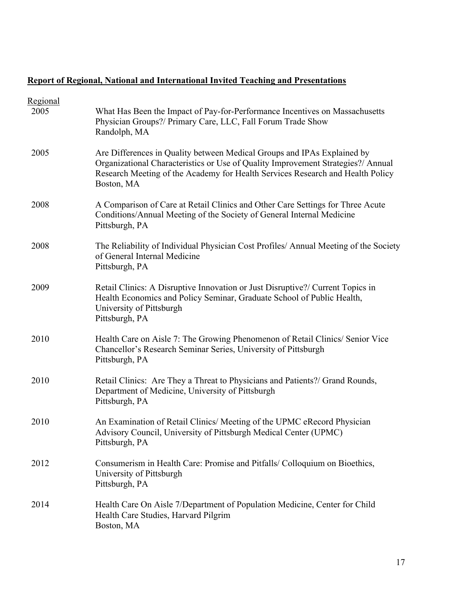# **Report of Regional, National and International Invited Teaching and Presentations**

| Regional |                                                                                                                                                                                                                                                             |
|----------|-------------------------------------------------------------------------------------------------------------------------------------------------------------------------------------------------------------------------------------------------------------|
| 2005     | What Has Been the Impact of Pay-for-Performance Incentives on Massachusetts<br>Physician Groups?/ Primary Care, LLC, Fall Forum Trade Show<br>Randolph, MA                                                                                                  |
| 2005     | Are Differences in Quality between Medical Groups and IPAs Explained by<br>Organizational Characteristics or Use of Quality Improvement Strategies?/ Annual<br>Research Meeting of the Academy for Health Services Research and Health Policy<br>Boston, MA |
| 2008     | A Comparison of Care at Retail Clinics and Other Care Settings for Three Acute<br>Conditions/Annual Meeting of the Society of General Internal Medicine<br>Pittsburgh, PA                                                                                   |
| 2008     | The Reliability of Individual Physician Cost Profiles/ Annual Meeting of the Society<br>of General Internal Medicine<br>Pittsburgh, PA                                                                                                                      |
| 2009     | Retail Clinics: A Disruptive Innovation or Just Disruptive?/ Current Topics in<br>Health Economics and Policy Seminar, Graduate School of Public Health,<br>University of Pittsburgh<br>Pittsburgh, PA                                                      |
| 2010     | Health Care on Aisle 7: The Growing Phenomenon of Retail Clinics/ Senior Vice<br>Chancellor's Research Seminar Series, University of Pittsburgh<br>Pittsburgh, PA                                                                                           |
| 2010     | Retail Clinics: Are They a Threat to Physicians and Patients?/ Grand Rounds,<br>Department of Medicine, University of Pittsburgh<br>Pittsburgh, PA                                                                                                          |
| 2010     | An Examination of Retail Clinics/ Meeting of the UPMC eRecord Physician<br>Advisory Council, University of Pittsburgh Medical Center (UPMC)<br>Pittsburgh, PA                                                                                               |
| 2012     | Consumerism in Health Care: Promise and Pitfalls/ Colloquium on Bioethics,<br>University of Pittsburgh<br>Pittsburgh, PA                                                                                                                                    |
| 2014     | Health Care On Aisle 7/Department of Population Medicine, Center for Child<br>Health Care Studies, Harvard Pilgrim<br>Boston, MA                                                                                                                            |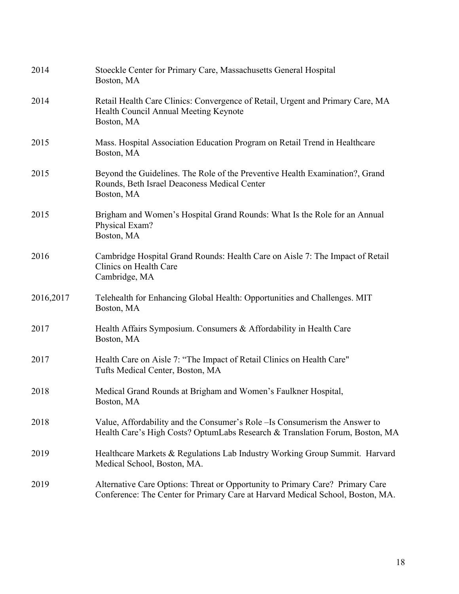| 2014      | Stoeckle Center for Primary Care, Massachusetts General Hospital<br>Boston, MA                                                                                  |
|-----------|-----------------------------------------------------------------------------------------------------------------------------------------------------------------|
| 2014      | Retail Health Care Clinics: Convergence of Retail, Urgent and Primary Care, MA<br>Health Council Annual Meeting Keynote<br>Boston, MA                           |
| 2015      | Mass. Hospital Association Education Program on Retail Trend in Healthcare<br>Boston, MA                                                                        |
| 2015      | Beyond the Guidelines. The Role of the Preventive Health Examination?, Grand<br>Rounds, Beth Israel Deaconess Medical Center<br>Boston, MA                      |
| 2015      | Brigham and Women's Hospital Grand Rounds: What Is the Role for an Annual<br>Physical Exam?<br>Boston, MA                                                       |
| 2016      | Cambridge Hospital Grand Rounds: Health Care on Aisle 7: The Impact of Retail<br>Clinics on Health Care<br>Cambridge, MA                                        |
| 2016,2017 | Telehealth for Enhancing Global Health: Opportunities and Challenges. MIT<br>Boston, MA                                                                         |
| 2017      | Health Affairs Symposium. Consumers & Affordability in Health Care<br>Boston, MA                                                                                |
| 2017      | Health Care on Aisle 7: "The Impact of Retail Clinics on Health Care"<br>Tufts Medical Center, Boston, MA                                                       |
| 2018      | Medical Grand Rounds at Brigham and Women's Faulkner Hospital,<br>Boston, MA                                                                                    |
| 2018      | Value, Affordability and the Consumer's Role – Is Consumerism the Answer to<br>Health Care's High Costs? OptumLabs Research & Translation Forum, Boston, MA     |
| 2019      | Healthcare Markets & Regulations Lab Industry Working Group Summit. Harvard<br>Medical School, Boston, MA.                                                      |
| 2019      | Alternative Care Options: Threat or Opportunity to Primary Care? Primary Care<br>Conference: The Center for Primary Care at Harvard Medical School, Boston, MA. |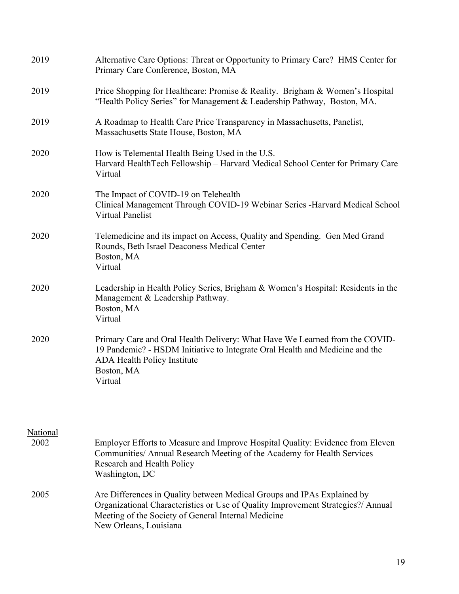| 2019                    | Alternative Care Options: Threat or Opportunity to Primary Care? HMS Center for<br>Primary Care Conference, Boston, MA                                                                                                                       |
|-------------------------|----------------------------------------------------------------------------------------------------------------------------------------------------------------------------------------------------------------------------------------------|
| 2019                    | Price Shopping for Healthcare: Promise & Reality. Brigham & Women's Hospital<br>"Health Policy Series" for Management & Leadership Pathway, Boston, MA.                                                                                      |
| 2019                    | A Roadmap to Health Care Price Transparency in Massachusetts, Panelist,<br>Massachusetts State House, Boston, MA                                                                                                                             |
| 2020                    | How is Telemental Health Being Used in the U.S.<br>Harvard HealthTech Fellowship - Harvard Medical School Center for Primary Care<br>Virtual                                                                                                 |
| 2020                    | The Impact of COVID-19 on Telehealth<br>Clinical Management Through COVID-19 Webinar Series -Harvard Medical School<br><b>Virtual Panelist</b>                                                                                               |
| 2020                    | Telemedicine and its impact on Access, Quality and Spending. Gen Med Grand<br>Rounds, Beth Israel Deaconess Medical Center<br>Boston, MA<br>Virtual                                                                                          |
| 2020                    | Leadership in Health Policy Series, Brigham & Women's Hospital: Residents in the<br>Management & Leadership Pathway.<br>Boston, MA<br>Virtual                                                                                                |
| 2020                    | Primary Care and Oral Health Delivery: What Have We Learned from the COVID-<br>19 Pandemic? - HSDM Initiative to Integrate Oral Health and Medicine and the<br><b>ADA Health Policy Institute</b><br>Boston, MA<br>Virtual                   |
| <b>National</b><br>2002 | Employer Efforts to Measure and Improve Hospital Quality: Evidence from Eleven<br>Communities/ Annual Research Meeting of the Academy for Health Services<br>Research and Health Policy<br>Washington, DC                                    |
| 2005                    | Are Differences in Quality between Medical Groups and IPAs Explained by<br>Organizational Characteristics or Use of Quality Improvement Strategies?/ Annual<br>Meeting of the Society of General Internal Medicine<br>New Orleans, Louisiana |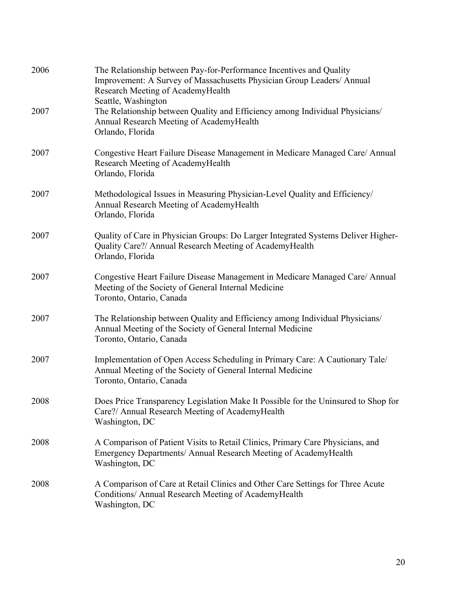| 2006 | The Relationship between Pay-for-Performance Incentives and Quality<br>Improvement: A Survey of Massachusetts Physician Group Leaders/ Annual<br>Research Meeting of AcademyHealth<br>Seattle, Washington |
|------|-----------------------------------------------------------------------------------------------------------------------------------------------------------------------------------------------------------|
| 2007 | The Relationship between Quality and Efficiency among Individual Physicians/<br>Annual Research Meeting of AcademyHealth<br>Orlando, Florida                                                              |
| 2007 | Congestive Heart Failure Disease Management in Medicare Managed Care/ Annual<br>Research Meeting of AcademyHealth<br>Orlando, Florida                                                                     |
| 2007 | Methodological Issues in Measuring Physician-Level Quality and Efficiency/<br>Annual Research Meeting of AcademyHealth<br>Orlando, Florida                                                                |
| 2007 | Quality of Care in Physician Groups: Do Larger Integrated Systems Deliver Higher-<br>Quality Care?/ Annual Research Meeting of AcademyHealth<br>Orlando, Florida                                          |
| 2007 | Congestive Heart Failure Disease Management in Medicare Managed Care/ Annual<br>Meeting of the Society of General Internal Medicine<br>Toronto, Ontario, Canada                                           |
| 2007 | The Relationship between Quality and Efficiency among Individual Physicians/<br>Annual Meeting of the Society of General Internal Medicine<br>Toronto, Ontario, Canada                                    |
| 2007 | Implementation of Open Access Scheduling in Primary Care: A Cautionary Tale/<br>Annual Meeting of the Society of General Internal Medicine<br>Toronto, Ontario, Canada                                    |
| 2008 | Does Price Transparency Legislation Make It Possible for the Uninsured to Shop for<br>Care?/ Annual Research Meeting of AcademyHealth<br>Washington, DC                                                   |
| 2008 | A Comparison of Patient Visits to Retail Clinics, Primary Care Physicians, and<br>Emergency Departments/ Annual Research Meeting of AcademyHealth<br>Washington, DC                                       |
| 2008 | A Comparison of Care at Retail Clinics and Other Care Settings for Three Acute<br>Conditions/ Annual Research Meeting of AcademyHealth<br>Washington, DC                                                  |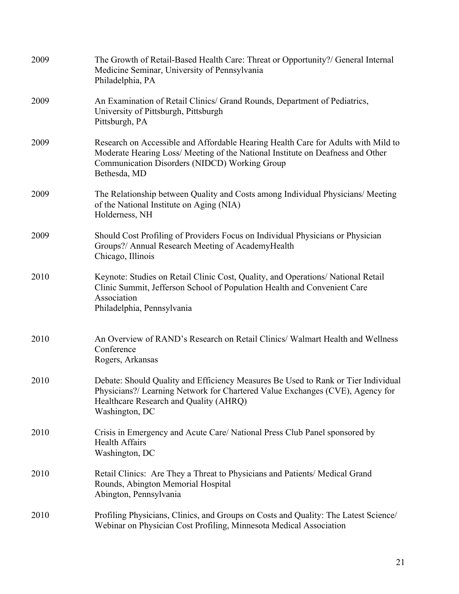| 2009 | The Growth of Retail-Based Health Care: Threat or Opportunity?/ General Internal<br>Medicine Seminar, University of Pennsylvania<br>Philadelphia, PA                                                                                 |
|------|--------------------------------------------------------------------------------------------------------------------------------------------------------------------------------------------------------------------------------------|
| 2009 | An Examination of Retail Clinics/ Grand Rounds, Department of Pediatrics,<br>University of Pittsburgh, Pittsburgh<br>Pittsburgh, PA                                                                                                  |
| 2009 | Research on Accessible and Affordable Hearing Health Care for Adults with Mild to<br>Moderate Hearing Loss/ Meeting of the National Institute on Deafness and Other<br>Communication Disorders (NIDCD) Working Group<br>Bethesda, MD |
| 2009 | The Relationship between Quality and Costs among Individual Physicians/ Meeting<br>of the National Institute on Aging (NIA)<br>Holderness, NH                                                                                        |
| 2009 | Should Cost Profiling of Providers Focus on Individual Physicians or Physician<br>Groups?/ Annual Research Meeting of AcademyHealth<br>Chicago, Illinois                                                                             |
| 2010 | Keynote: Studies on Retail Clinic Cost, Quality, and Operations/National Retail<br>Clinic Summit, Jefferson School of Population Health and Convenient Care<br>Association<br>Philadelphia, Pennsylvania                             |
| 2010 | An Overview of RAND's Research on Retail Clinics/Walmart Health and Wellness<br>Conference<br>Rogers, Arkansas                                                                                                                       |
| 2010 | Debate: Should Quality and Efficiency Measures Be Used to Rank or Tier Individual<br>Physicians?/ Learning Network for Chartered Value Exchanges (CVE), Agency for<br>Healthcare Research and Quality (AHRQ)<br>Washington, DC       |
| 2010 | Crisis in Emergency and Acute Care/ National Press Club Panel sponsored by<br><b>Health Affairs</b><br>Washington, DC                                                                                                                |
| 2010 | Retail Clinics: Are They a Threat to Physicians and Patients/ Medical Grand<br>Rounds, Abington Memorial Hospital<br>Abington, Pennsylvania                                                                                          |
| 2010 | Profiling Physicians, Clinics, and Groups on Costs and Quality: The Latest Science/<br>Webinar on Physician Cost Profiling, Minnesota Medical Association                                                                            |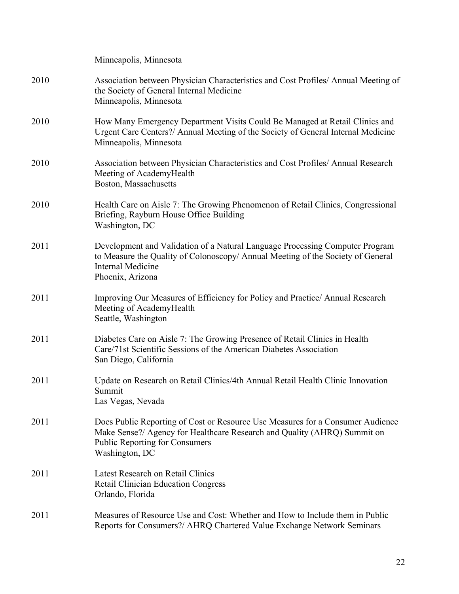|      | Minneapolis, Minnesota                                                                                                                                                                                                |
|------|-----------------------------------------------------------------------------------------------------------------------------------------------------------------------------------------------------------------------|
| 2010 | Association between Physician Characteristics and Cost Profiles/ Annual Meeting of<br>the Society of General Internal Medicine<br>Minneapolis, Minnesota                                                              |
| 2010 | How Many Emergency Department Visits Could Be Managed at Retail Clinics and<br>Urgent Care Centers?/ Annual Meeting of the Society of General Internal Medicine<br>Minneapolis, Minnesota                             |
| 2010 | Association between Physician Characteristics and Cost Profiles/ Annual Research<br>Meeting of AcademyHealth<br>Boston, Massachusetts                                                                                 |
| 2010 | Health Care on Aisle 7: The Growing Phenomenon of Retail Clinics, Congressional<br>Briefing, Rayburn House Office Building<br>Washington, DC                                                                          |
| 2011 | Development and Validation of a Natural Language Processing Computer Program<br>to Measure the Quality of Colonoscopy/ Annual Meeting of the Society of General<br><b>Internal Medicine</b><br>Phoenix, Arizona       |
| 2011 | Improving Our Measures of Efficiency for Policy and Practice/Annual Research<br>Meeting of AcademyHealth<br>Seattle, Washington                                                                                       |
| 2011 | Diabetes Care on Aisle 7: The Growing Presence of Retail Clinics in Health<br>Care/71st Scientific Sessions of the American Diabetes Association<br>San Diego, California                                             |
| 2011 | Update on Research on Retail Clinics/4th Annual Retail Health Clinic Innovation<br>Summit<br>Las Vegas, Nevada                                                                                                        |
| 2011 | Does Public Reporting of Cost or Resource Use Measures for a Consumer Audience<br>Make Sense?/ Agency for Healthcare Research and Quality (AHRQ) Summit on<br><b>Public Reporting for Consumers</b><br>Washington, DC |
| 2011 | <b>Latest Research on Retail Clinics</b><br><b>Retail Clinician Education Congress</b><br>Orlando, Florida                                                                                                            |
| 2011 | Measures of Resource Use and Cost: Whether and How to Include them in Public<br>Reports for Consumers?/ AHRQ Chartered Value Exchange Network Seminars                                                                |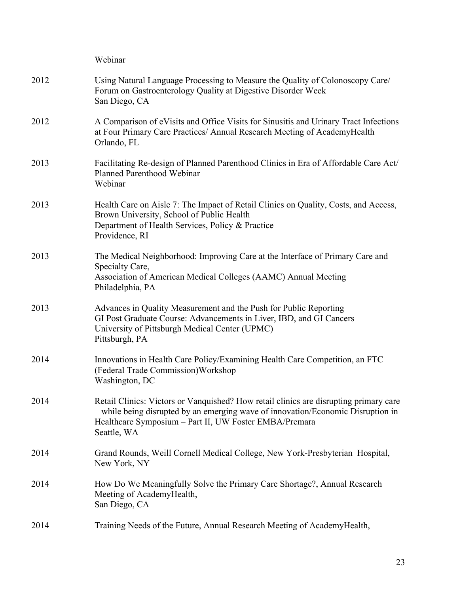|      | Webinar                                                                                                                                                                                                                                            |
|------|----------------------------------------------------------------------------------------------------------------------------------------------------------------------------------------------------------------------------------------------------|
| 2012 | Using Natural Language Processing to Measure the Quality of Colonoscopy Care/<br>Forum on Gastroenterology Quality at Digestive Disorder Week<br>San Diego, CA                                                                                     |
| 2012 | A Comparison of eVisits and Office Visits for Sinusitis and Urinary Tract Infections<br>at Four Primary Care Practices/ Annual Research Meeting of AcademyHealth<br>Orlando, FL                                                                    |
| 2013 | Facilitating Re-design of Planned Parenthood Clinics in Era of Affordable Care Act/<br>Planned Parenthood Webinar<br>Webinar                                                                                                                       |
| 2013 | Health Care on Aisle 7: The Impact of Retail Clinics on Quality, Costs, and Access,<br>Brown University, School of Public Health<br>Department of Health Services, Policy & Practice<br>Providence, RI                                             |
| 2013 | The Medical Neighborhood: Improving Care at the Interface of Primary Care and<br>Specialty Care,<br>Association of American Medical Colleges (AAMC) Annual Meeting<br>Philadelphia, PA                                                             |
| 2013 | Advances in Quality Measurement and the Push for Public Reporting<br>GI Post Graduate Course: Advancements in Liver, IBD, and GI Cancers<br>University of Pittsburgh Medical Center (UPMC)<br>Pittsburgh, PA                                       |
| 2014 | Innovations in Health Care Policy/Examining Health Care Competition, an FTC<br>(Federal Trade Commission) Workshop<br>Washington, DC                                                                                                               |
| 2014 | Retail Clinics: Victors or Vanquished? How retail clinics are disrupting primary care<br>- while being disrupted by an emerging wave of innovation/Economic Disruption in<br>Healthcare Symposium - Part II, UW Foster EMBA/Premara<br>Seattle, WA |
| 2014 | Grand Rounds, Weill Cornell Medical College, New York-Presbyterian Hospital,<br>New York, NY                                                                                                                                                       |
| 2014 | How Do We Meaningfully Solve the Primary Care Shortage?, Annual Research<br>Meeting of AcademyHealth,<br>San Diego, CA                                                                                                                             |
| 2014 | Training Needs of the Future, Annual Research Meeting of Academy Health,                                                                                                                                                                           |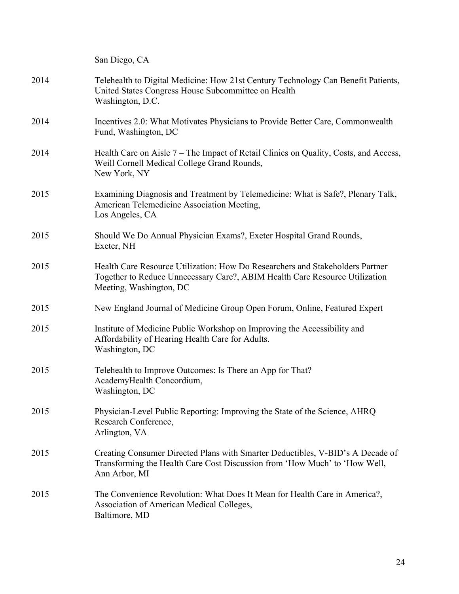San Diego, CA 2014 Telehealth to Digital Medicine: How 21st Century Technology Can Benefit Patients, United States Congress House Subcommittee on Health Washington, D.C. 2014 Incentives 2.0: What Motivates Physicians to Provide Better Care, Commonwealth Fund, Washington, DC 2014 Health Care on Aisle 7 – The Impact of Retail Clinics on Quality, Costs, and Access, Weill Cornell Medical College Grand Rounds, New York, NY 2015 Examining Diagnosis and Treatment by Telemedicine: What is Safe?, Plenary Talk, American Telemedicine Association Meeting, Los Angeles, CA 2015 Should We Do Annual Physician Exams?, Exeter Hospital Grand Rounds, Exeter, NH 2015 Health Care Resource Utilization: How Do Researchers and Stakeholders Partner Together to Reduce Unnecessary Care?, ABIM Health Care Resource Utilization Meeting, Washington, DC 2015 New England Journal of Medicine Group Open Forum, Online, Featured Expert 2015 Institute of Medicine Public Workshop on Improving the Accessibility and Affordability of Hearing Health Care for Adults. Washington, DC 2015 Telehealth to Improve Outcomes: Is There an App for That? AcademyHealth Concordium, Washington, DC 2015 Physician-Level Public Reporting: Improving the State of the Science, AHRQ Research Conference, Arlington, VA 2015 Creating Consumer Directed Plans with Smarter Deductibles, V-BID's A Decade of Transforming the Health Care Cost Discussion from 'How Much' to 'How Well, Ann Arbor, MI 2015 The Convenience Revolution: What Does It Mean for Health Care in America?, Association of American Medical Colleges, Baltimore, MD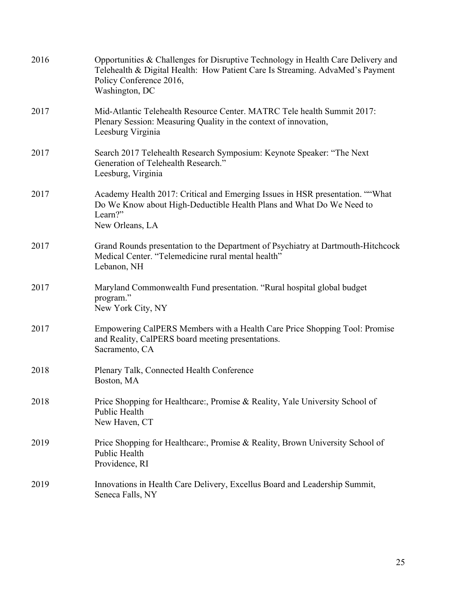| 2016 | Opportunities & Challenges for Disruptive Technology in Health Care Delivery and<br>Telehealth & Digital Health: How Patient Care Is Streaming. AdvaMed's Payment<br>Policy Conference 2016,<br>Washington, DC |
|------|----------------------------------------------------------------------------------------------------------------------------------------------------------------------------------------------------------------|
| 2017 | Mid-Atlantic Telehealth Resource Center. MATRC Tele health Summit 2017:<br>Plenary Session: Measuring Quality in the context of innovation,<br>Leesburg Virginia                                               |
| 2017 | Search 2017 Telehealth Research Symposium: Keynote Speaker: "The Next<br>Generation of Telehealth Research."<br>Leesburg, Virginia                                                                             |
| 2017 | Academy Health 2017: Critical and Emerging Issues in HSR presentation. ""What<br>Do We Know about High-Deductible Health Plans and What Do We Need to<br>Learn?"<br>New Orleans, LA                            |
| 2017 | Grand Rounds presentation to the Department of Psychiatry at Dartmouth-Hitchcock<br>Medical Center. "Telemedicine rural mental health"<br>Lebanon, NH                                                          |
| 2017 | Maryland Commonwealth Fund presentation. "Rural hospital global budget<br>program."<br>New York City, NY                                                                                                       |
| 2017 | Empowering CalPERS Members with a Health Care Price Shopping Tool: Promise<br>and Reality, CalPERS board meeting presentations.<br>Sacramento, CA                                                              |
| 2018 | Plenary Talk, Connected Health Conference<br>Boston, MA                                                                                                                                                        |
| 2018 | Price Shopping for Healthcare:, Promise & Reality, Yale University School of<br>Public Health<br>New Haven, CT                                                                                                 |
| 2019 | Price Shopping for Healthcare:, Promise & Reality, Brown University School of<br>Public Health<br>Providence, RI                                                                                               |
| 2019 | Innovations in Health Care Delivery, Excellus Board and Leadership Summit,<br>Seneca Falls, NY                                                                                                                 |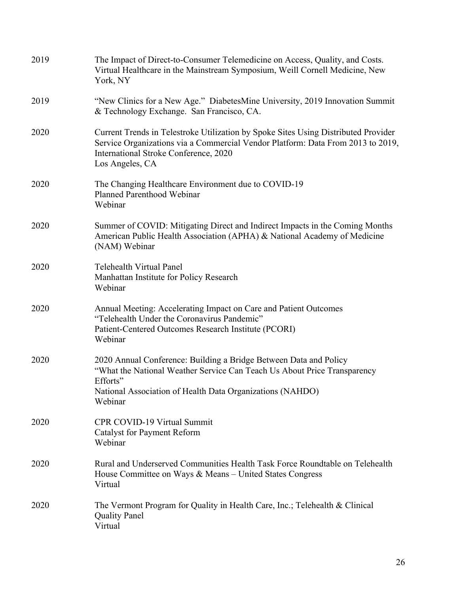| 2019 | The Impact of Direct-to-Consumer Telemedicine on Access, Quality, and Costs.<br>Virtual Healthcare in the Mainstream Symposium, Weill Cornell Medicine, New<br>York, NY                                                           |
|------|-----------------------------------------------------------------------------------------------------------------------------------------------------------------------------------------------------------------------------------|
| 2019 | "New Clinics for a New Age." Diabetes Mine University, 2019 Innovation Summit<br>& Technology Exchange. San Francisco, CA.                                                                                                        |
| 2020 | Current Trends in Telestroke Utilization by Spoke Sites Using Distributed Provider<br>Service Organizations via a Commercial Vendor Platform: Data From 2013 to 2019,<br>International Stroke Conference, 2020<br>Los Angeles, CA |
| 2020 | The Changing Healthcare Environment due to COVID-19<br>Planned Parenthood Webinar<br>Webinar                                                                                                                                      |
| 2020 | Summer of COVID: Mitigating Direct and Indirect Impacts in the Coming Months<br>American Public Health Association (APHA) & National Academy of Medicine<br>(NAM) Webinar                                                         |
| 2020 | Telehealth Virtual Panel<br>Manhattan Institute for Policy Research<br>Webinar                                                                                                                                                    |
| 2020 | Annual Meeting: Accelerating Impact on Care and Patient Outcomes<br>"Telehealth Under the Coronavirus Pandemic"<br>Patient-Centered Outcomes Research Institute (PCORI)<br>Webinar                                                |
| 2020 | 2020 Annual Conference: Building a Bridge Between Data and Policy<br>"What the National Weather Service Can Teach Us About Price Transparency<br>Efforts"<br>National Association of Health Data Organizations (NAHDO)<br>Webinar |
| 2020 | <b>CPR COVID-19 Virtual Summit</b><br><b>Catalyst for Payment Reform</b><br>Webinar                                                                                                                                               |
| 2020 | Rural and Underserved Communities Health Task Force Roundtable on Telehealth<br>House Committee on Ways & Means – United States Congress<br>Virtual                                                                               |
| 2020 | The Vermont Program for Quality in Health Care, Inc.; Telehealth & Clinical<br><b>Quality Panel</b><br>Virtual                                                                                                                    |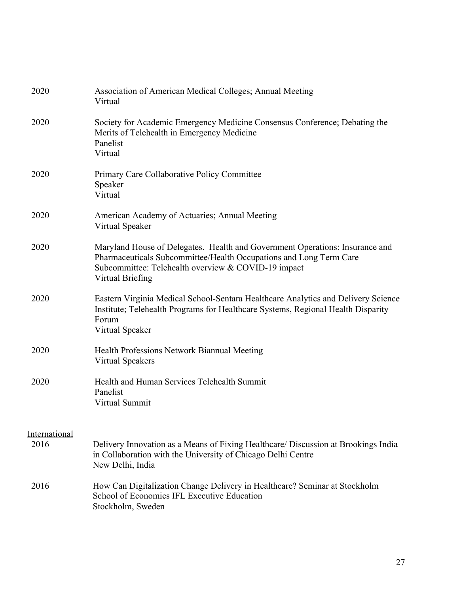| 2020          | Association of American Medical Colleges; Annual Meeting<br>Virtual                                                                                                                                                           |
|---------------|-------------------------------------------------------------------------------------------------------------------------------------------------------------------------------------------------------------------------------|
| 2020          | Society for Academic Emergency Medicine Consensus Conference; Debating the<br>Merits of Telehealth in Emergency Medicine<br>Panelist<br>Virtual                                                                               |
| 2020          | Primary Care Collaborative Policy Committee<br>Speaker<br>Virtual                                                                                                                                                             |
| 2020          | American Academy of Actuaries; Annual Meeting<br>Virtual Speaker                                                                                                                                                              |
| 2020          | Maryland House of Delegates. Health and Government Operations: Insurance and<br>Pharmaceuticals Subcommittee/Health Occupations and Long Term Care<br>Subcommittee: Telehealth overview & COVID-19 impact<br>Virtual Briefing |
| 2020          | Eastern Virginia Medical School-Sentara Healthcare Analytics and Delivery Science<br>Institute; Telehealth Programs for Healthcare Systems, Regional Health Disparity<br>Forum<br>Virtual Speaker                             |
| 2020          | Health Professions Network Biannual Meeting<br><b>Virtual Speakers</b>                                                                                                                                                        |
| 2020          | Health and Human Services Telehealth Summit<br>Panelist<br>Virtual Summit                                                                                                                                                     |
| International |                                                                                                                                                                                                                               |
| 2016          | Delivery Innovation as a Means of Fixing Healthcare/ Discussion at Brookings India<br>in Collaboration with the University of Chicago Delhi Centre<br>New Delhi, India                                                        |
| 2016          | How Can Digitalization Change Delivery in Healthcare? Seminar at Stockholm<br>School of Economics IFL Executive Education<br>Stockholm, Sweden                                                                                |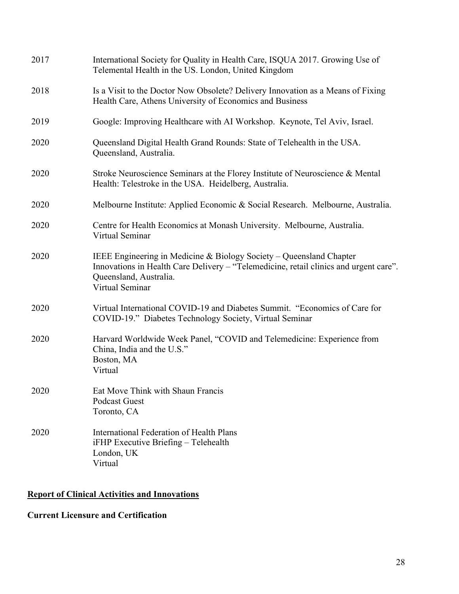| 2017 | International Society for Quality in Health Care, ISQUA 2017. Growing Use of<br>Telemental Health in the US. London, United Kingdom                                                                       |
|------|-----------------------------------------------------------------------------------------------------------------------------------------------------------------------------------------------------------|
| 2018 | Is a Visit to the Doctor Now Obsolete? Delivery Innovation as a Means of Fixing<br>Health Care, Athens University of Economics and Business                                                               |
| 2019 | Google: Improving Healthcare with AI Workshop. Keynote, Tel Aviv, Israel.                                                                                                                                 |
| 2020 | Queensland Digital Health Grand Rounds: State of Telehealth in the USA.<br>Queensland, Australia.                                                                                                         |
| 2020 | Stroke Neuroscience Seminars at the Florey Institute of Neuroscience & Mental<br>Health: Telestroke in the USA. Heidelberg, Australia.                                                                    |
| 2020 | Melbourne Institute: Applied Economic & Social Research. Melbourne, Australia.                                                                                                                            |
| 2020 | Centre for Health Economics at Monash University. Melbourne, Australia.<br>Virtual Seminar                                                                                                                |
| 2020 | IEEE Engineering in Medicine & Biology Society – Queensland Chapter<br>Innovations in Health Care Delivery - "Telemedicine, retail clinics and urgent care".<br>Queensland, Australia.<br>Virtual Seminar |
| 2020 | Virtual International COVID-19 and Diabetes Summit. "Economics of Care for<br>COVID-19." Diabetes Technology Society, Virtual Seminar                                                                     |
| 2020 | Harvard Worldwide Week Panel, "COVID and Telemedicine: Experience from<br>China, India and the U.S."<br>Boston, MA<br>Virtual                                                                             |
| 2020 | Eat Move Think with Shaun Francis<br><b>Podcast Guest</b><br>Toronto, CA                                                                                                                                  |
| 2020 | International Federation of Health Plans<br>iFHP Executive Briefing - Telehealth<br>London, UK<br>Virtual                                                                                                 |

## **Report of Clinical Activities and Innovations**

### **Current Licensure and Certification**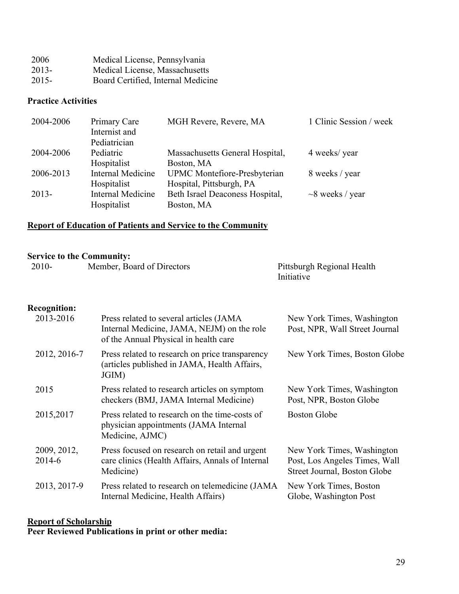| 2006     | Medical License, Pennsylvania      |
|----------|------------------------------------|
| $2013-$  | Medical License, Massachusetts     |
| $2015 -$ | Board Certified, Internal Medicine |

### **Practice Activities**

| 2004-2006 | Primary Care             | MGH Revere, Revere, MA              | 1 Clinic Session / week |
|-----------|--------------------------|-------------------------------------|-------------------------|
|           | Internist and            |                                     |                         |
|           | Pediatrician             |                                     |                         |
| 2004-2006 | Pediatric                | Massachusetts General Hospital,     | 4 weeks/year            |
|           | Hospitalist              | Boston, MA                          |                         |
| 2006-2013 | <b>Internal Medicine</b> | <b>UPMC</b> Montefiore-Presbyterian | 8 weeks / year          |
|           | Hospitalist              | Hospital, Pittsburgh, PA            |                         |
| $2013-$   | <b>Internal Medicine</b> | Beth Israel Deaconess Hospital,     | $\sim$ 8 weeks / year   |
|           | Hospitalist              | Boston, MA                          |                         |

### **Report of Education of Patients and Service to the Community**

### **Service to the Community:**

| $2010-$ | Member, Board of Directors | Pittsburgh Regional Health |
|---------|----------------------------|----------------------------|
|         |                            | Initiative                 |

### **Recognition:**

| 2013-2016             | Press related to several articles (JAMA<br>Internal Medicine, JAMA, NEJM) on the role<br>of the Annual Physical in health care | New York Times, Washington<br>Post, NPR, Wall Street Journal                                |
|-----------------------|--------------------------------------------------------------------------------------------------------------------------------|---------------------------------------------------------------------------------------------|
| 2012, 2016-7          | Press related to research on price transparency<br>(articles published in JAMA, Health Affairs,<br>JGIM)                       | New York Times, Boston Globe                                                                |
| 2015                  | Press related to research articles on symptom<br>checkers (BMJ, JAMA Internal Medicine)                                        | New York Times, Washington<br>Post, NPR, Boston Globe                                       |
| 2015,2017             | Press related to research on the time-costs of<br>physician appointments (JAMA Internal                                        | Boston Globe                                                                                |
|                       | Medicine, AJMC)                                                                                                                |                                                                                             |
| 2009, 2012,<br>2014-6 | Press focused on research on retail and urgent<br>care clinics (Health Affairs, Annals of Internal<br>Medicine)                | New York Times, Washington<br>Post, Los Angeles Times, Wall<br>Street Journal, Boston Globe |
| 2013, 2017-9          | Press related to research on telemedicine (JAMA)<br>Internal Medicine, Health Affairs)                                         | New York Times, Boston<br>Globe, Washington Post                                            |

### **Report of Scholarship Peer Reviewed Publications in print or other media:**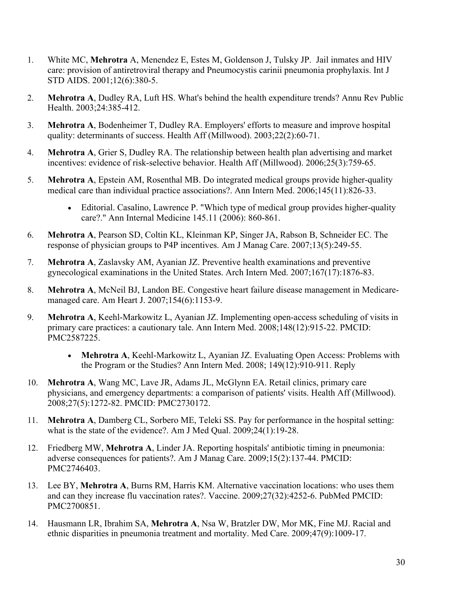- 1. White MC, **Mehrotra** A, Menendez E, Estes M, Goldenson J, Tulsky JP. Jail inmates and HIV care: provision of antiretroviral therapy and Pneumocystis carinii pneumonia prophylaxis. Int J STD AIDS. 2001;12(6):380-5.
- 2. **Mehrotra A**, Dudley RA, Luft HS. What's behind the health expenditure trends? Annu Rev Public Health. 2003;24:385-412.
- 3. **Mehrotra A**, Bodenheimer T, Dudley RA. Employers' efforts to measure and improve hospital quality: determinants of success. Health Aff (Millwood). 2003;22(2):60-71.
- 4. **Mehrotra A**, Grier S, Dudley RA. The relationship between health plan advertising and market incentives: evidence of risk-selective behavior. Health Aff (Millwood). 2006;25(3):759-65.
- 5. **Mehrotra A**, Epstein AM, Rosenthal MB. Do integrated medical groups provide higher-quality medical care than individual practice associations?. Ann Intern Med. 2006;145(11):826-33.
	- Editorial. Casalino, Lawrence P. "Which type of medical group provides higher-quality care?." Ann Internal Medicine 145.11 (2006): 860-861.
- 6. **Mehrotra A**, Pearson SD, Coltin KL, Kleinman KP, Singer JA, Rabson B, Schneider EC. The response of physician groups to P4P incentives. Am J Manag Care. 2007;13(5):249-55.
- 7. **Mehrotra A**, Zaslavsky AM, Ayanian JZ. Preventive health examinations and preventive gynecological examinations in the United States. Arch Intern Med. 2007;167(17):1876-83.
- 8. **Mehrotra A**, McNeil BJ, Landon BE. Congestive heart failure disease management in Medicaremanaged care. Am Heart J. 2007;154(6):1153-9.
- 9. **Mehrotra A**, Keehl-Markowitz L, Ayanian JZ. Implementing open-access scheduling of visits in primary care practices: a cautionary tale. Ann Intern Med. 2008;148(12):915-22. PMCID: PMC2587225.
	- **Mehrotra A**, Keehl-Markowitz L, Ayanian JZ. Evaluating Open Access: Problems with the Program or the Studies? Ann Intern Med. 2008; 149(12):910-911. Reply
- 10. **Mehrotra A**, Wang MC, Lave JR, Adams JL, McGlynn EA. Retail clinics, primary care physicians, and emergency departments: a comparison of patients' visits. Health Aff (Millwood). 2008;27(5):1272-82. PMCID: PMC2730172.
- 11. **Mehrotra A**, Damberg CL, Sorbero ME, Teleki SS. Pay for performance in the hospital setting: what is the state of the evidence?. Am J Med Qual. 2009;24(1):19-28.
- 12. Friedberg MW, **Mehrotra A**, Linder JA. Reporting hospitals' antibiotic timing in pneumonia: adverse consequences for patients?. Am J Manag Care. 2009;15(2):137-44. PMCID: PMC2746403.
- 13. Lee BY, **Mehrotra A**, Burns RM, Harris KM. Alternative vaccination locations: who uses them and can they increase flu vaccination rates?. Vaccine. 2009;27(32):4252-6. PubMed PMCID: PMC2700851.
- 14. Hausmann LR, Ibrahim SA, **Mehrotra A**, Nsa W, Bratzler DW, Mor MK, Fine MJ. Racial and ethnic disparities in pneumonia treatment and mortality. Med Care. 2009;47(9):1009-17.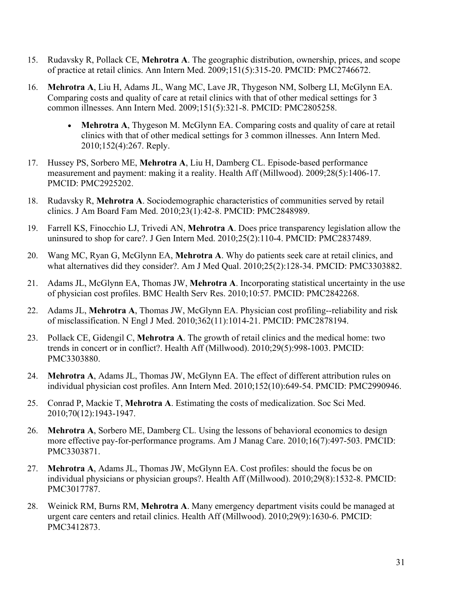- 15. Rudavsky R, Pollack CE, **Mehrotra A**. The geographic distribution, ownership, prices, and scope of practice at retail clinics. Ann Intern Med. 2009;151(5):315-20. PMCID: PMC2746672.
- 16. **Mehrotra A**, Liu H, Adams JL, Wang MC, Lave JR, Thygeson NM, Solberg LI, McGlynn EA. Comparing costs and quality of care at retail clinics with that of other medical settings for 3 common illnesses. Ann Intern Med. 2009;151(5):321-8. PMCID: PMC2805258.
	- **Mehrotra A**, Thygeson M. McGlynn EA. Comparing costs and quality of care at retail clinics with that of other medical settings for 3 common illnesses. Ann Intern Med. 2010;152(4):267. Reply.
- 17. Hussey PS, Sorbero ME, **Mehrotra A**, Liu H, Damberg CL. Episode-based performance measurement and payment: making it a reality. Health Aff (Millwood). 2009;28(5):1406-17. PMCID: PMC2925202.
- 18. Rudavsky R, **Mehrotra A**. Sociodemographic characteristics of communities served by retail clinics. J Am Board Fam Med. 2010;23(1):42-8. PMCID: PMC2848989.
- 19. Farrell KS, Finocchio LJ, Trivedi AN, **Mehrotra A**. Does price transparency legislation allow the uninsured to shop for care?. J Gen Intern Med. 2010;25(2):110-4. PMCID: PMC2837489.
- 20. Wang MC, Ryan G, McGlynn EA, **Mehrotra A**. Why do patients seek care at retail clinics, and what alternatives did they consider?. Am J Med Qual. 2010;25(2):128-34. PMCID: PMC3303882.
- 21. Adams JL, McGlynn EA, Thomas JW, **Mehrotra A**. Incorporating statistical uncertainty in the use of physician cost profiles. BMC Health Serv Res. 2010;10:57. PMCID: PMC2842268.
- 22. Adams JL, **Mehrotra A**, Thomas JW, McGlynn EA. Physician cost profiling--reliability and risk of misclassification. N Engl J Med. 2010;362(11):1014-21. PMCID: PMC2878194.
- 23. Pollack CE, Gidengil C, **Mehrotra A**. The growth of retail clinics and the medical home: two trends in concert or in conflict?. Health Aff (Millwood). 2010;29(5):998-1003. PMCID: PMC3303880.
- 24. **Mehrotra A**, Adams JL, Thomas JW, McGlynn EA. The effect of different attribution rules on individual physician cost profiles. Ann Intern Med. 2010;152(10):649-54. PMCID: PMC2990946.
- 25. Conrad P, Mackie T, **Mehrotra A**. Estimating the costs of medicalization. Soc Sci Med. 2010;70(12):1943-1947.
- 26. **Mehrotra A**, Sorbero ME, Damberg CL. Using the lessons of behavioral economics to design more effective pay-for-performance programs. Am J Manag Care. 2010;16(7):497-503. PMCID: PMC3303871.
- 27. **Mehrotra A**, Adams JL, Thomas JW, McGlynn EA. Cost profiles: should the focus be on individual physicians or physician groups?. Health Aff (Millwood). 2010;29(8):1532-8. PMCID: PMC3017787.
- 28. Weinick RM, Burns RM, **Mehrotra A**. Many emergency department visits could be managed at urgent care centers and retail clinics. Health Aff (Millwood). 2010;29(9):1630-6. PMCID: PMC3412873.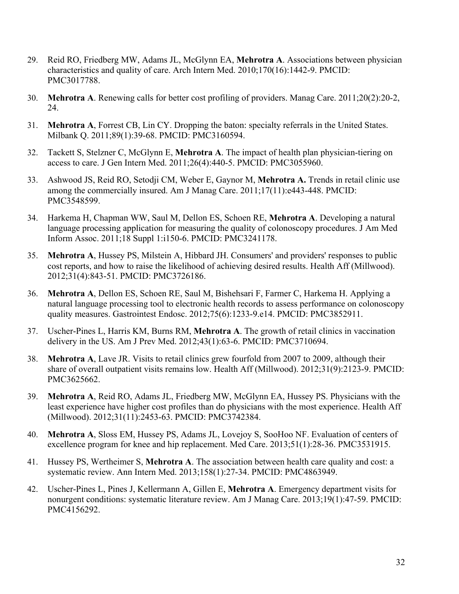- 29. Reid RO, Friedberg MW, Adams JL, McGlynn EA, **Mehrotra A**. Associations between physician characteristics and quality of care. Arch Intern Med. 2010;170(16):1442-9. PMCID: PMC3017788.
- 30. **Mehrotra A**. Renewing calls for better cost profiling of providers. Manag Care. 2011;20(2):20-2, 24.
- 31. **Mehrotra A**, Forrest CB, Lin CY. Dropping the baton: specialty referrals in the United States. Milbank Q. 2011;89(1):39-68. PMCID: PMC3160594.
- 32. Tackett S, Stelzner C, McGlynn E, **Mehrotra A**. The impact of health plan physician-tiering on access to care. J Gen Intern Med. 2011;26(4):440-5. PMCID: PMC3055960.
- 33. Ashwood JS, Reid RO, Setodji CM, Weber E, Gaynor M, **Mehrotra A.** Trends in retail clinic use among the commercially insured. Am J Manag Care. 2011;17(11):e443-448. PMCID: PMC3548599.
- 34. Harkema H, Chapman WW, Saul M, Dellon ES, Schoen RE, **Mehrotra A**. Developing a natural language processing application for measuring the quality of colonoscopy procedures. J Am Med Inform Assoc. 2011;18 Suppl 1:i150-6. PMCID: PMC3241178.
- 35. **Mehrotra A**, Hussey PS, Milstein A, Hibbard JH. Consumers' and providers' responses to public cost reports, and how to raise the likelihood of achieving desired results. Health Aff (Millwood). 2012;31(4):843-51. PMCID: PMC3726186.
- 36. **Mehrotra A**, Dellon ES, Schoen RE, Saul M, Bishehsari F, Farmer C, Harkema H. Applying a natural language processing tool to electronic health records to assess performance on colonoscopy quality measures. Gastrointest Endosc. 2012;75(6):1233-9.e14. PMCID: PMC3852911.
- 37. Uscher-Pines L, Harris KM, Burns RM, **Mehrotra A**. The growth of retail clinics in vaccination delivery in the US. Am J Prev Med. 2012;43(1):63-6. PMCID: PMC3710694.
- 38. **Mehrotra A**, Lave JR. Visits to retail clinics grew fourfold from 2007 to 2009, although their share of overall outpatient visits remains low. Health Aff (Millwood). 2012;31(9):2123-9. PMCID: PMC3625662.
- 39. **Mehrotra A**, Reid RO, Adams JL, Friedberg MW, McGlynn EA, Hussey PS. Physicians with the least experience have higher cost profiles than do physicians with the most experience. Health Aff (Millwood). 2012;31(11):2453-63. PMCID: PMC3742384.
- 40. **Mehrotra A**, Sloss EM, Hussey PS, Adams JL, Lovejoy S, SooHoo NF. Evaluation of centers of excellence program for knee and hip replacement. Med Care. 2013;51(1):28-36. PMC3531915.
- 41. Hussey PS, Wertheimer S, **Mehrotra A**. The association between health care quality and cost: a systematic review. Ann Intern Med. 2013;158(1):27-34. PMCID: PMC4863949.
- 42. Uscher-Pines L, Pines J, Kellermann A, Gillen E, **Mehrotra A**. Emergency department visits for nonurgent conditions: systematic literature review. Am J Manag Care. 2013;19(1):47-59. PMCID: PMC4156292.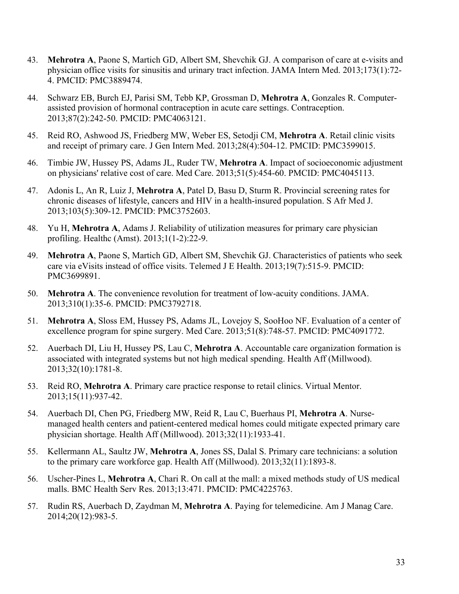- 43. **Mehrotra A**, Paone S, Martich GD, Albert SM, Shevchik GJ. A comparison of care at e-visits and physician office visits for sinusitis and urinary tract infection. JAMA Intern Med. 2013;173(1):72- 4. PMCID: PMC3889474.
- 44. Schwarz EB, Burch EJ, Parisi SM, Tebb KP, Grossman D, **Mehrotra A**, Gonzales R. Computerassisted provision of hormonal contraception in acute care settings. Contraception. 2013;87(2):242-50. PMCID: PMC4063121.
- 45. Reid RO, Ashwood JS, Friedberg MW, Weber ES, Setodji CM, **Mehrotra A**. Retail clinic visits and receipt of primary care. J Gen Intern Med. 2013;28(4):504-12. PMCID: PMC3599015.
- 46. Timbie JW, Hussey PS, Adams JL, Ruder TW, **Mehrotra A**. Impact of socioeconomic adjustment on physicians' relative cost of care. Med Care. 2013;51(5):454-60. PMCID: PMC4045113.
- 47. Adonis L, An R, Luiz J, **Mehrotra A**, Patel D, Basu D, Sturm R. Provincial screening rates for chronic diseases of lifestyle, cancers and HIV in a health-insured population. S Afr Med J. 2013;103(5):309-12. PMCID: PMC3752603.
- 48. Yu H, **Mehrotra A**, Adams J. Reliability of utilization measures for primary care physician profiling. Healthc (Amst). 2013;1(1-2):22-9.
- 49. **Mehrotra A**, Paone S, Martich GD, Albert SM, Shevchik GJ. Characteristics of patients who seek care via eVisits instead of office visits. Telemed J E Health. 2013;19(7):515-9. PMCID: PMC3699891.
- 50. **Mehrotra A**. The convenience revolution for treatment of low-acuity conditions. JAMA. 2013;310(1):35-6. PMCID: PMC3792718.
- 51. **Mehrotra A**, Sloss EM, Hussey PS, Adams JL, Lovejoy S, SooHoo NF. Evaluation of a center of excellence program for spine surgery. Med Care. 2013;51(8):748-57. PMCID: PMC4091772.
- 52. Auerbach DI, Liu H, Hussey PS, Lau C, **Mehrotra A**. Accountable care organization formation is associated with integrated systems but not high medical spending. Health Aff (Millwood). 2013;32(10):1781-8.
- 53. Reid RO, **Mehrotra A**. Primary care practice response to retail clinics. Virtual Mentor. 2013;15(11):937-42.
- 54. Auerbach DI, Chen PG, Friedberg MW, Reid R, Lau C, Buerhaus PI, **Mehrotra A**. Nursemanaged health centers and patient-centered medical homes could mitigate expected primary care physician shortage. Health Aff (Millwood). 2013;32(11):1933-41.
- 55. Kellermann AL, Saultz JW, **Mehrotra A**, Jones SS, Dalal S. Primary care technicians: a solution to the primary care workforce gap. Health Aff (Millwood). 2013;32(11):1893-8.
- 56. Uscher-Pines L, **Mehrotra A**, Chari R. On call at the mall: a mixed methods study of US medical malls. BMC Health Serv Res. 2013;13:471. PMCID: PMC4225763.
- 57. Rudin RS, Auerbach D, Zaydman M, **Mehrotra A**. Paying for telemedicine. Am J Manag Care. 2014;20(12):983-5.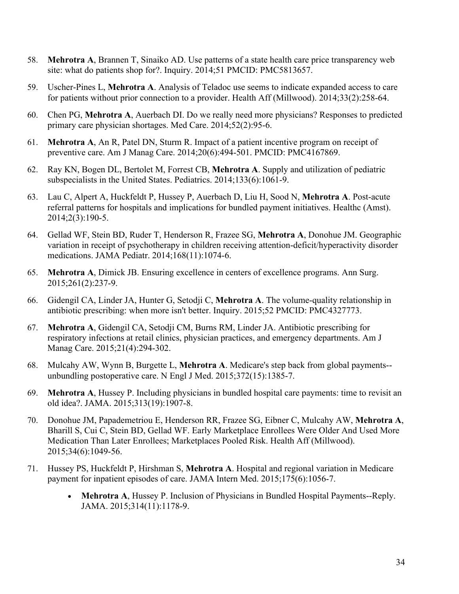- 58. **Mehrotra A**, Brannen T, Sinaiko AD. Use patterns of a state health care price transparency web site: what do patients shop for?. Inquiry. 2014;51 PMCID: PMC5813657.
- 59. Uscher-Pines L, **Mehrotra A**. Analysis of Teladoc use seems to indicate expanded access to care for patients without prior connection to a provider. Health Aff (Millwood). 2014;33(2):258-64.
- 60. Chen PG, **Mehrotra A**, Auerbach DI. Do we really need more physicians? Responses to predicted primary care physician shortages. Med Care. 2014;52(2):95-6.
- 61. **Mehrotra A**, An R, Patel DN, Sturm R. Impact of a patient incentive program on receipt of preventive care. Am J Manag Care. 2014;20(6):494-501. PMCID: PMC4167869.
- 62. Ray KN, Bogen DL, Bertolet M, Forrest CB, **Mehrotra A**. Supply and utilization of pediatric subspecialists in the United States. Pediatrics. 2014;133(6):1061-9.
- 63. Lau C, Alpert A, Huckfeldt P, Hussey P, Auerbach D, Liu H, Sood N, **Mehrotra A**. Post-acute referral patterns for hospitals and implications for bundled payment initiatives. Healthc (Amst). 2014;2(3):190-5.
- 64. Gellad WF, Stein BD, Ruder T, Henderson R, Frazee SG, **Mehrotra A**, Donohue JM. Geographic variation in receipt of psychotherapy in children receiving attention-deficit/hyperactivity disorder medications. JAMA Pediatr. 2014;168(11):1074-6.
- 65. **Mehrotra A**, Dimick JB. Ensuring excellence in centers of excellence programs. Ann Surg. 2015;261(2):237-9.
- 66. Gidengil CA, Linder JA, Hunter G, Setodji C, **Mehrotra A**. The volume-quality relationship in antibiotic prescribing: when more isn't better. Inquiry. 2015;52 PMCID: PMC4327773.
- 67. **Mehrotra A**, Gidengil CA, Setodji CM, Burns RM, Linder JA. Antibiotic prescribing for respiratory infections at retail clinics, physician practices, and emergency departments. Am J Manag Care. 2015;21(4):294-302.
- 68. Mulcahy AW, Wynn B, Burgette L, **Mehrotra A**. Medicare's step back from global payments- unbundling postoperative care. N Engl J Med. 2015;372(15):1385-7.
- 69. **Mehrotra A**, Hussey P. Including physicians in bundled hospital care payments: time to revisit an old idea?. JAMA. 2015;313(19):1907-8.
- 70. Donohue JM, Papademetriou E, Henderson RR, Frazee SG, Eibner C, Mulcahy AW, **Mehrotra A**, Bharill S, Cui C, Stein BD, Gellad WF. Early Marketplace Enrollees Were Older And Used More Medication Than Later Enrollees; Marketplaces Pooled Risk. Health Aff (Millwood). 2015;34(6):1049-56.
- 71. Hussey PS, Huckfeldt P, Hirshman S, **Mehrotra A**. Hospital and regional variation in Medicare payment for inpatient episodes of care. JAMA Intern Med. 2015;175(6):1056-7.
	- **Mehrotra A**, Hussey P. Inclusion of Physicians in Bundled Hospital Payments--Reply. JAMA. 2015;314(11):1178-9.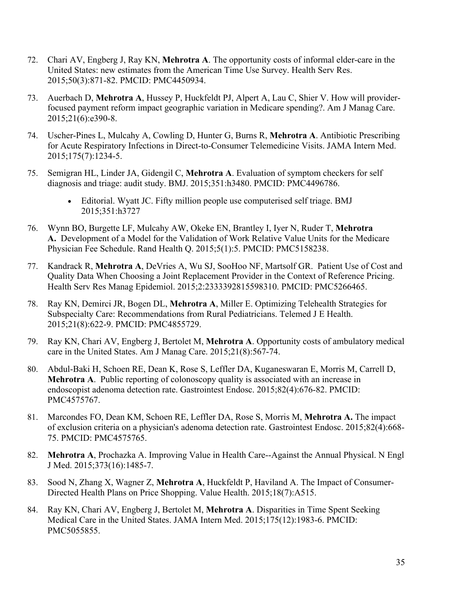- 72. Chari AV, Engberg J, Ray KN, **Mehrotra A**. The opportunity costs of informal elder-care in the United States: new estimates from the American Time Use Survey. Health Serv Res. 2015;50(3):871-82. PMCID: PMC4450934.
- 73. Auerbach D, **Mehrotra A**, Hussey P, Huckfeldt PJ, Alpert A, Lau C, Shier V. How will providerfocused payment reform impact geographic variation in Medicare spending?. Am J Manag Care. 2015;21(6):e390-8.
- 74. Uscher-Pines L, Mulcahy A, Cowling D, Hunter G, Burns R, **Mehrotra A**. Antibiotic Prescribing for Acute Respiratory Infections in Direct-to-Consumer Telemedicine Visits. JAMA Intern Med. 2015;175(7):1234-5.
- 75. Semigran HL, Linder JA, Gidengil C, **Mehrotra A**. Evaluation of symptom checkers for self diagnosis and triage: audit study. BMJ. 2015;351:h3480. PMCID: PMC4496786.
	- Editorial. Wyatt JC. Fifty million people use computerised self triage. BMJ 2015;351:h3727
- 76. Wynn BO, Burgette LF, Mulcahy AW, Okeke EN, Brantley I, Iyer N, Ruder T, **Mehrotra A.** Development of a Model for the Validation of Work Relative Value Units for the Medicare Physician Fee Schedule. Rand Health Q. 2015;5(1):5. PMCID: PMC5158238.
- 77. Kandrack R, **Mehrotra A**, DeVries A, Wu SJ, SooHoo NF, Martsolf GR. Patient Use of Cost and Quality Data When Choosing a Joint Replacement Provider in the Context of Reference Pricing. Health Serv Res Manag Epidemiol. 2015;2:2333392815598310. PMCID: PMC5266465.
- 78. Ray KN, Demirci JR, Bogen DL, **Mehrotra A**, Miller E. Optimizing Telehealth Strategies for Subspecialty Care: Recommendations from Rural Pediatricians. Telemed J E Health. 2015;21(8):622-9. PMCID: PMC4855729.
- 79. Ray KN, Chari AV, Engberg J, Bertolet M, **Mehrotra A**. Opportunity costs of ambulatory medical care in the United States. Am J Manag Care. 2015;21(8):567-74.
- 80. Abdul-Baki H, Schoen RE, Dean K, Rose S, Leffler DA, Kuganeswaran E, Morris M, Carrell D, **Mehrotra A**. Public reporting of colonoscopy quality is associated with an increase in endoscopist adenoma detection rate. Gastrointest Endosc. 2015;82(4):676-82. PMCID: PMC4575767.
- 81. Marcondes FO, Dean KM, Schoen RE, Leffler DA, Rose S, Morris M, **Mehrotra A.** The impact of exclusion criteria on a physician's adenoma detection rate. Gastrointest Endosc. 2015;82(4):668- 75. PMCID: PMC4575765.
- 82. **Mehrotra A**, Prochazka A. Improving Value in Health Care--Against the Annual Physical. N Engl J Med. 2015;373(16):1485-7.
- 83. Sood N, Zhang X, Wagner Z, **Mehrotra A**, Huckfeldt P, Haviland A. The Impact of Consumer-Directed Health Plans on Price Shopping. Value Health. 2015;18(7):A515.
- 84. Ray KN, Chari AV, Engberg J, Bertolet M, **Mehrotra A**. Disparities in Time Spent Seeking Medical Care in the United States. JAMA Intern Med. 2015;175(12):1983-6. PMCID: PMC5055855.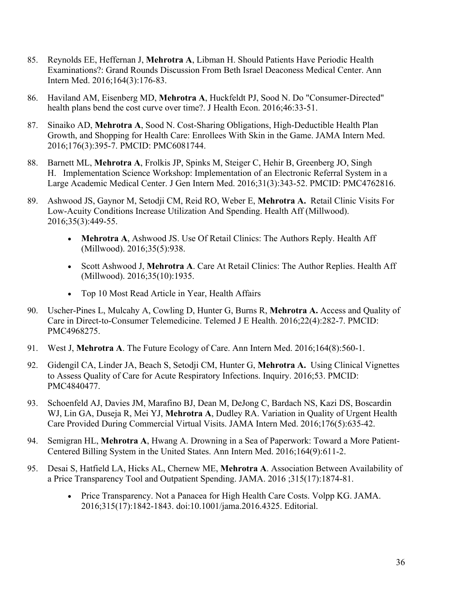- 85. Reynolds EE, Heffernan J, **Mehrotra A**, Libman H. Should Patients Have Periodic Health Examinations?: Grand Rounds Discussion From Beth Israel Deaconess Medical Center. Ann Intern Med. 2016;164(3):176-83.
- 86. Haviland AM, Eisenberg MD, **Mehrotra A**, Huckfeldt PJ, Sood N. Do "Consumer-Directed" health plans bend the cost curve over time?. J Health Econ. 2016;46:33-51.
- 87. Sinaiko AD, **Mehrotra A**, Sood N. Cost-Sharing Obligations, High-Deductible Health Plan Growth, and Shopping for Health Care: Enrollees With Skin in the Game. JAMA Intern Med. 2016;176(3):395-7. PMCID: PMC6081744.
- 88. Barnett ML, **Mehrotra A**, Frolkis JP, Spinks M, Steiger C, Hehir B, Greenberg JO, Singh H. Implementation Science Workshop: Implementation of an Electronic Referral System in a Large Academic Medical Center. J Gen Intern Med. 2016;31(3):343-52. PMCID: PMC4762816.
- 89. Ashwood JS, Gaynor M, Setodji CM, Reid RO, Weber E, **Mehrotra A.** Retail Clinic Visits For Low-Acuity Conditions Increase Utilization And Spending. Health Aff (Millwood). 2016;35(3):449-55.
	- **Mehrotra A**, Ashwood JS. Use Of Retail Clinics: The Authors Reply. Health Aff (Millwood). 2016;35(5):938.
	- Scott Ashwood J, **Mehrotra A**. Care At Retail Clinics: The Author Replies. Health Aff (Millwood). 2016;35(10):1935.
	- Top 10 Most Read Article in Year, Health Affairs
- 90. Uscher-Pines L, Mulcahy A, Cowling D, Hunter G, Burns R, **Mehrotra A.** Access and Quality of Care in Direct-to-Consumer Telemedicine. Telemed J E Health. 2016;22(4):282-7. PMCID: PMC4968275.
- 91. West J, **Mehrotra A**. The Future Ecology of Care. Ann Intern Med. 2016;164(8):560-1.
- 92. Gidengil CA, Linder JA, Beach S, Setodji CM, Hunter G, **Mehrotra A.** Using Clinical Vignettes to Assess Quality of Care for Acute Respiratory Infections. Inquiry. 2016;53. PMCID: PMC4840477.
- 93. Schoenfeld AJ, Davies JM, Marafino BJ, Dean M, DeJong C, Bardach NS, Kazi DS, Boscardin WJ, Lin GA, Duseja R, Mei YJ, **Mehrotra A**, Dudley RA. Variation in Quality of Urgent Health Care Provided During Commercial Virtual Visits. JAMA Intern Med. 2016;176(5):635-42.
- 94. Semigran HL, **Mehrotra A**, Hwang A. Drowning in a Sea of Paperwork: Toward a More Patient-Centered Billing System in the United States. Ann Intern Med. 2016;164(9):611-2.
- 95. Desai S, Hatfield LA, Hicks AL, Chernew ME, **Mehrotra A**. Association Between Availability of a Price Transparency Tool and Outpatient Spending. JAMA. 2016 ;315(17):1874-81.
	- Price Transparency. Not a Panacea for High Health Care Costs. Volpp KG. JAMA. 2016;315(17):1842-1843. doi:10.1001/jama.2016.4325. Editorial.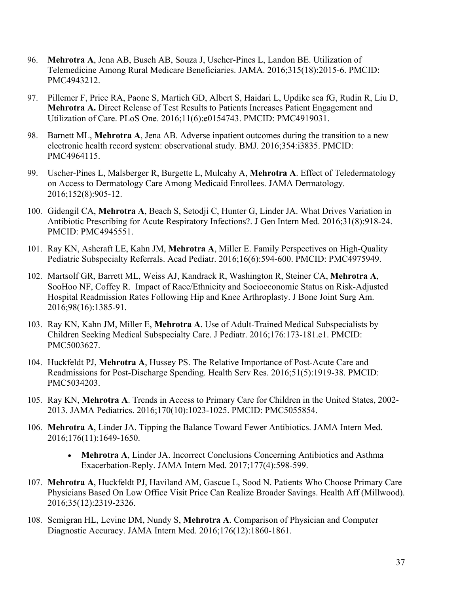- 96. **Mehrotra A**, Jena AB, Busch AB, Souza J, Uscher-Pines L, Landon BE. Utilization of Telemedicine Among Rural Medicare Beneficiaries. JAMA. 2016;315(18):2015-6. PMCID: PMC4943212.
- 97. Pillemer F, Price RA, Paone S, Martich GD, Albert S, Haidari L, Updike sea fG, Rudin R, Liu D, **Mehrotra A.** Direct Release of Test Results to Patients Increases Patient Engagement and Utilization of Care. PLoS One. 2016;11(6):e0154743. PMCID: PMC4919031.
- 98. Barnett ML, **Mehrotra A**, Jena AB. Adverse inpatient outcomes during the transition to a new electronic health record system: observational study. BMJ. 2016;354:i3835. PMCID: PMC4964115.
- 99. Uscher-Pines L, Malsberger R, Burgette L, Mulcahy A, **Mehrotra A**. Effect of Teledermatology on Access to Dermatology Care Among Medicaid Enrollees. JAMA Dermatology. 2016;152(8):905-12.
- 100. Gidengil CA, **Mehrotra A**, Beach S, Setodji C, Hunter G, Linder JA. What Drives Variation in Antibiotic Prescribing for Acute Respiratory Infections?. J Gen Intern Med. 2016;31(8):918-24. PMCID: PMC4945551.
- 101. Ray KN, Ashcraft LE, Kahn JM, **Mehrotra A**, Miller E. Family Perspectives on High-Quality Pediatric Subspecialty Referrals. Acad Pediatr. 2016;16(6):594-600. PMCID: PMC4975949.
- 102. Martsolf GR, Barrett ML, Weiss AJ, Kandrack R, Washington R, Steiner CA, **Mehrotra A**, SooHoo NF, Coffey R. Impact of Race/Ethnicity and Socioeconomic Status on Risk-Adjusted Hospital Readmission Rates Following Hip and Knee Arthroplasty. J Bone Joint Surg Am. 2016;98(16):1385-91.
- 103. Ray KN, Kahn JM, Miller E, **Mehrotra A**. Use of Adult-Trained Medical Subspecialists by Children Seeking Medical Subspecialty Care. J Pediatr. 2016;176:173-181.e1. PMCID: PMC5003627.
- 104. Huckfeldt PJ, **Mehrotra A**, Hussey PS. The Relative Importance of Post-Acute Care and Readmissions for Post-Discharge Spending. Health Serv Res. 2016;51(5):1919-38. PMCID: PMC5034203.
- 105. Ray KN, **Mehrotra A**. Trends in Access to Primary Care for Children in the United States, 2002- 2013. JAMA Pediatrics. 2016;170(10):1023-1025. PMCID: PMC5055854.
- 106. **Mehrotra A**, Linder JA. Tipping the Balance Toward Fewer Antibiotics. JAMA Intern Med. 2016;176(11):1649-1650.
	- **Mehrotra A**, Linder JA. Incorrect Conclusions Concerning Antibiotics and Asthma Exacerbation-Reply. JAMA Intern Med. 2017;177(4):598-599.
- 107. **Mehrotra A**, Huckfeldt PJ, Haviland AM, Gascue L, Sood N. Patients Who Choose Primary Care Physicians Based On Low Office Visit Price Can Realize Broader Savings. Health Aff (Millwood). 2016;35(12):2319-2326.
- 108. Semigran HL, Levine DM, Nundy S, **Mehrotra A**. Comparison of Physician and Computer Diagnostic Accuracy. JAMA Intern Med. 2016;176(12):1860-1861.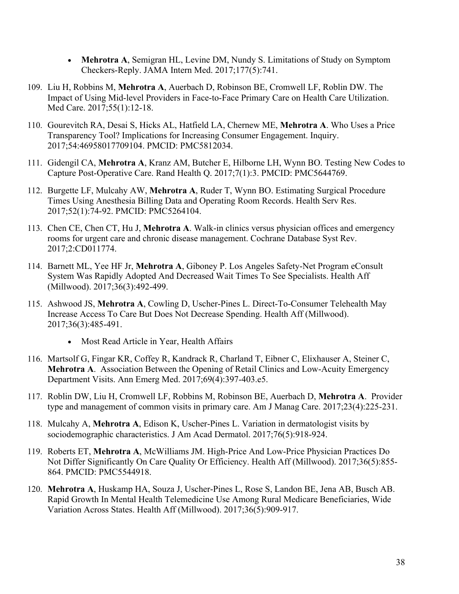- **Mehrotra A**, Semigran HL, Levine DM, Nundy S. Limitations of Study on Symptom Checkers-Reply. JAMA Intern Med. 2017;177(5):741.
- 109. Liu H, Robbins M, **Mehrotra A**, Auerbach D, Robinson BE, Cromwell LF, Roblin DW. The Impact of Using Mid-level Providers in Face-to-Face Primary Care on Health Care Utilization. Med Care. 2017;55(1):12-18.
- 110. Gourevitch RA, Desai S, Hicks AL, Hatfield LA, Chernew ME, **Mehrotra A**. Who Uses a Price Transparency Tool? Implications for Increasing Consumer Engagement. Inquiry. 2017;54:46958017709104. PMCID: PMC5812034.
- 111. Gidengil CA, **Mehrotra A**, Kranz AM, Butcher E, Hilborne LH, Wynn BO. Testing New Codes to Capture Post-Operative Care. Rand Health Q. 2017;7(1):3. PMCID: PMC5644769.
- 112. Burgette LF, Mulcahy AW, **Mehrotra A**, Ruder T, Wynn BO. Estimating Surgical Procedure Times Using Anesthesia Billing Data and Operating Room Records. Health Serv Res. 2017;52(1):74-92. PMCID: PMC5264104.
- 113. Chen CE, Chen CT, Hu J, **Mehrotra A**. Walk-in clinics versus physician offices and emergency rooms for urgent care and chronic disease management. Cochrane Database Syst Rev. 2017;2:CD011774.
- 114. Barnett ML, Yee HF Jr, **Mehrotra A**, Giboney P. Los Angeles Safety-Net Program eConsult System Was Rapidly Adopted And Decreased Wait Times To See Specialists. Health Aff (Millwood). 2017;36(3):492-499.
- 115. Ashwood JS, **Mehrotra A**, Cowling D, Uscher-Pines L. Direct-To-Consumer Telehealth May Increase Access To Care But Does Not Decrease Spending. Health Aff (Millwood). 2017;36(3):485-491.
	- Most Read Article in Year, Health Affairs
- 116. Martsolf G, Fingar KR, Coffey R, Kandrack R, Charland T, Eibner C, Elixhauser A, Steiner C, **Mehrotra A**. Association Between the Opening of Retail Clinics and Low-Acuity Emergency Department Visits. Ann Emerg Med. 2017;69(4):397-403.e5.
- 117. Roblin DW, Liu H, Cromwell LF, Robbins M, Robinson BE, Auerbach D, **Mehrotra A**. Provider type and management of common visits in primary care. Am J Manag Care. 2017;23(4):225-231.
- 118. Mulcahy A, **Mehrotra A**, Edison K, Uscher-Pines L. Variation in dermatologist visits by sociodemographic characteristics. J Am Acad Dermatol. 2017;76(5):918-924.
- 119. Roberts ET, **Mehrotra A**, McWilliams JM. High-Price And Low-Price Physician Practices Do Not Differ Significantly On Care Quality Or Efficiency. Health Aff (Millwood). 2017;36(5):855- 864. PMCID: PMC5544918.
- 120. **Mehrotra A**, Huskamp HA, Souza J, Uscher-Pines L, Rose S, Landon BE, Jena AB, Busch AB. Rapid Growth In Mental Health Telemedicine Use Among Rural Medicare Beneficiaries, Wide Variation Across States. Health Aff (Millwood). 2017;36(5):909-917.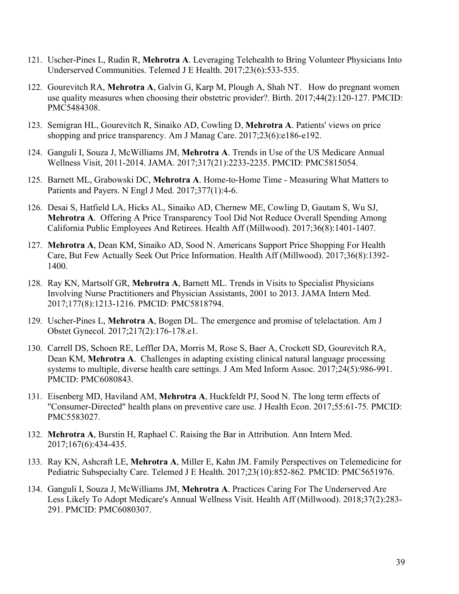- 121. Uscher-Pines L, Rudin R, **Mehrotra A**. Leveraging Telehealth to Bring Volunteer Physicians Into Underserved Communities. Telemed J E Health. 2017;23(6):533-535.
- 122. Gourevitch RA, **Mehrotra A**, Galvin G, Karp M, Plough A, Shah NT. How do pregnant women use quality measures when choosing their obstetric provider?. Birth. 2017;44(2):120-127. PMCID: PMC5484308.
- 123. Semigran HL, Gourevitch R, Sinaiko AD, Cowling D, **Mehrotra A**. Patients' views on price shopping and price transparency. Am J Manag Care. 2017;23(6):e186-e192.
- 124. Ganguli I, Souza J, McWilliams JM, **Mehrotra A**. Trends in Use of the US Medicare Annual Wellness Visit, 2011-2014. JAMA. 2017;317(21):2233-2235. PMCID: PMC5815054.
- 125. Barnett ML, Grabowski DC, **Mehrotra A**. Home-to-Home Time Measuring What Matters to Patients and Payers. N Engl J Med. 2017;377(1):4-6.
- 126. Desai S, Hatfield LA, Hicks AL, Sinaiko AD, Chernew ME, Cowling D, Gautam S, Wu SJ, **Mehrotra A**. Offering A Price Transparency Tool Did Not Reduce Overall Spending Among California Public Employees And Retirees. Health Aff (Millwood). 2017;36(8):1401-1407.
- 127. **Mehrotra A**, Dean KM, Sinaiko AD, Sood N. Americans Support Price Shopping For Health Care, But Few Actually Seek Out Price Information. Health Aff (Millwood). 2017;36(8):1392- 1400.
- 128. Ray KN, Martsolf GR, **Mehrotra A**, Barnett ML. Trends in Visits to Specialist Physicians Involving Nurse Practitioners and Physician Assistants, 2001 to 2013. JAMA Intern Med. 2017;177(8):1213-1216. PMCID: PMC5818794.
- 129. Uscher-Pines L, **Mehrotra A**, Bogen DL. The emergence and promise of telelactation. Am J Obstet Gynecol. 2017;217(2):176-178.e1.
- 130. Carrell DS, Schoen RE, Leffler DA, Morris M, Rose S, Baer A, Crockett SD, Gourevitch RA, Dean KM, **Mehrotra A**. Challenges in adapting existing clinical natural language processing systems to multiple, diverse health care settings. J Am Med Inform Assoc. 2017;24(5):986-991. PMCID: PMC6080843.
- 131. Eisenberg MD, Haviland AM, **Mehrotra A**, Huckfeldt PJ, Sood N. The long term effects of "Consumer-Directed" health plans on preventive care use. J Health Econ. 2017;55:61-75. PMCID: PMC5583027.
- 132. **Mehrotra A**, Burstin H, Raphael C. Raising the Bar in Attribution. Ann Intern Med. 2017;167(6):434-435.
- 133. Ray KN, Ashcraft LE, **Mehrotra A**, Miller E, Kahn JM. Family Perspectives on Telemedicine for Pediatric Subspecialty Care. Telemed J E Health. 2017;23(10):852-862. PMCID: PMC5651976.
- 134. Ganguli I, Souza J, McWilliams JM, **Mehrotra A**. Practices Caring For The Underserved Are Less Likely To Adopt Medicare's Annual Wellness Visit. Health Aff (Millwood). 2018;37(2):283- 291. PMCID: PMC6080307.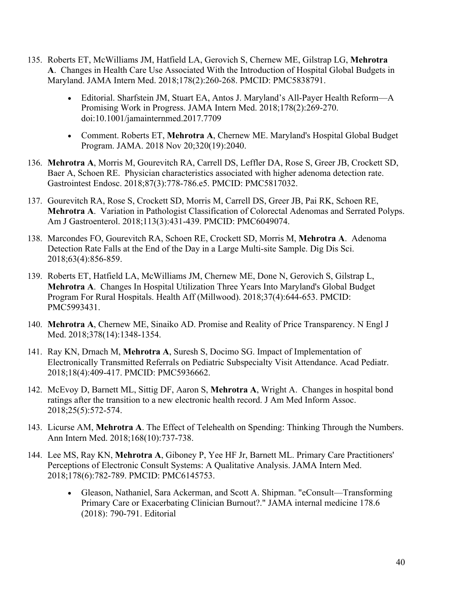- 135. Roberts ET, McWilliams JM, Hatfield LA, Gerovich S, Chernew ME, Gilstrap LG, **Mehrotra A**. Changes in Health Care Use Associated With the Introduction of Hospital Global Budgets in Maryland. JAMA Intern Med. 2018;178(2):260-268. PMCID: PMC5838791.
	- Editorial. Sharfstein JM, Stuart EA, Antos J. Maryland's All-Payer Health Reform—A Promising Work in Progress. JAMA Intern Med. 2018;178(2):269-270. doi:10.1001/jamainternmed.2017.7709
	- Comment. Roberts ET, **Mehrotra A**, Chernew ME. Maryland's Hospital Global Budget Program. JAMA. 2018 Nov 20;320(19):2040.
- 136. **Mehrotra A**, Morris M, Gourevitch RA, Carrell DS, Leffler DA, Rose S, Greer JB, Crockett SD, Baer A, Schoen RE. Physician characteristics associated with higher adenoma detection rate. Gastrointest Endosc. 2018;87(3):778-786.e5. PMCID: PMC5817032.
- 137. Gourevitch RA, Rose S, Crockett SD, Morris M, Carrell DS, Greer JB, Pai RK, Schoen RE, **Mehrotra A**. Variation in Pathologist Classification of Colorectal Adenomas and Serrated Polyps. Am J Gastroenterol. 2018;113(3):431-439. PMCID: PMC6049074.
- 138. Marcondes FO, Gourevitch RA, Schoen RE, Crockett SD, Morris M, **Mehrotra A**. Adenoma Detection Rate Falls at the End of the Day in a Large Multi-site Sample. Dig Dis Sci. 2018;63(4):856-859.
- 139. Roberts ET, Hatfield LA, McWilliams JM, Chernew ME, Done N, Gerovich S, Gilstrap L, **Mehrotra A**. Changes In Hospital Utilization Three Years Into Maryland's Global Budget Program For Rural Hospitals. Health Aff (Millwood). 2018;37(4):644-653. PMCID: PMC5993431.
- 140. **Mehrotra A**, Chernew ME, Sinaiko AD. Promise and Reality of Price Transparency. N Engl J Med. 2018;378(14):1348-1354.
- 141. Ray KN, Drnach M, **Mehrotra A**, Suresh S, Docimo SG. Impact of Implementation of Electronically Transmitted Referrals on Pediatric Subspecialty Visit Attendance. Acad Pediatr. 2018;18(4):409-417. PMCID: PMC5936662.
- 142. McEvoy D, Barnett ML, Sittig DF, Aaron S, **Mehrotra A**, Wright A. Changes in hospital bond ratings after the transition to a new electronic health record. J Am Med Inform Assoc. 2018;25(5):572-574.
- 143. Licurse AM, **Mehrotra A**. The Effect of Telehealth on Spending: Thinking Through the Numbers. Ann Intern Med. 2018;168(10):737-738.
- 144. Lee MS, Ray KN, **Mehrotra A**, Giboney P, Yee HF Jr, Barnett ML. Primary Care Practitioners' Perceptions of Electronic Consult Systems: A Qualitative Analysis. JAMA Intern Med. 2018;178(6):782-789. PMCID: PMC6145753.
	- Gleason, Nathaniel, Sara Ackerman, and Scott A. Shipman. "eConsult—Transforming Primary Care or Exacerbating Clinician Burnout?." JAMA internal medicine 178.6 (2018): 790-791. Editorial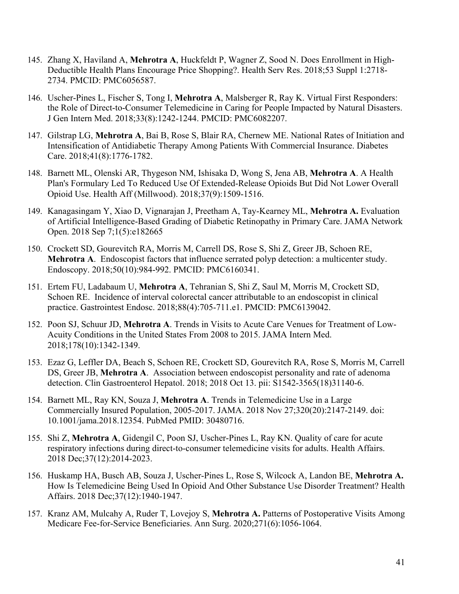- 145. Zhang X, Haviland A, **Mehrotra A**, Huckfeldt P, Wagner Z, Sood N. Does Enrollment in High-Deductible Health Plans Encourage Price Shopping?. Health Serv Res. 2018;53 Suppl 1:2718- 2734. PMCID: PMC6056587.
- 146. Uscher-Pines L, Fischer S, Tong I, **Mehrotra A**, Malsberger R, Ray K. Virtual First Responders: the Role of Direct-to-Consumer Telemedicine in Caring for People Impacted by Natural Disasters. J Gen Intern Med. 2018;33(8):1242-1244. PMCID: PMC6082207.
- 147. Gilstrap LG, **Mehrotra A**, Bai B, Rose S, Blair RA, Chernew ME. National Rates of Initiation and Intensification of Antidiabetic Therapy Among Patients With Commercial Insurance. Diabetes Care. 2018;41(8):1776-1782.
- 148. Barnett ML, Olenski AR, Thygeson NM, Ishisaka D, Wong S, Jena AB, **Mehrotra A**. A Health Plan's Formulary Led To Reduced Use Of Extended-Release Opioids But Did Not Lower Overall Opioid Use. Health Aff (Millwood). 2018;37(9):1509-1516.
- 149. Kanagasingam Y, Xiao D, Vignarajan J, Preetham A, Tay-Kearney ML, **Mehrotra A.** Evaluation of Artificial Intelligence-Based Grading of Diabetic Retinopathy in Primary Care. JAMA Network Open. 2018 Sep 7;1(5):e182665
- 150. Crockett SD, Gourevitch RA, Morris M, Carrell DS, Rose S, Shi Z, Greer JB, Schoen RE, **Mehrotra A**. Endoscopist factors that influence serrated polyp detection: a multicenter study. Endoscopy. 2018;50(10):984-992. PMCID: PMC6160341.
- 151. Ertem FU, Ladabaum U, **Mehrotra A**, Tehranian S, Shi Z, Saul M, Morris M, Crockett SD, Schoen RE. Incidence of interval colorectal cancer attributable to an endoscopist in clinical practice. Gastrointest Endosc. 2018;88(4):705-711.e1. PMCID: PMC6139042.
- 152. Poon SJ, Schuur JD, **Mehrotra A**. Trends in Visits to Acute Care Venues for Treatment of Low-Acuity Conditions in the United States From 2008 to 2015. JAMA Intern Med. 2018;178(10):1342-1349.
- 153. Ezaz G, Leffler DA, Beach S, Schoen RE, Crockett SD, Gourevitch RA, Rose S, Morris M, Carrell DS, Greer JB, **Mehrotra A**. Association between endoscopist personality and rate of adenoma detection. Clin Gastroenterol Hepatol. 2018; 2018 Oct 13. pii: S1542-3565(18)31140-6.
- 154. Barnett ML, Ray KN, Souza J, **Mehrotra A**. Trends in Telemedicine Use in a Large Commercially Insured Population, 2005-2017. JAMA. 2018 Nov 27;320(20):2147-2149. doi: 10.1001/jama.2018.12354. PubMed PMID: 30480716.
- 155. Shi Z, **Mehrotra A**, Gidengil C, Poon SJ, Uscher-Pines L, Ray KN. Quality of care for acute respiratory infections during direct-to-consumer telemedicine visits for adults. Health Affairs. 2018 Dec;37(12):2014-2023.
- 156. Huskamp HA, Busch AB, Souza J, Uscher-Pines L, Rose S, Wilcock A, Landon BE, **Mehrotra A.** How Is Telemedicine Being Used In Opioid And Other Substance Use Disorder Treatment? Health Affairs. 2018 Dec;37(12):1940-1947.
- 157. Kranz AM, Mulcahy A, Ruder T, Lovejoy S, **Mehrotra A.** Patterns of Postoperative Visits Among Medicare Fee-for-Service Beneficiaries. Ann Surg. 2020;271(6):1056-1064.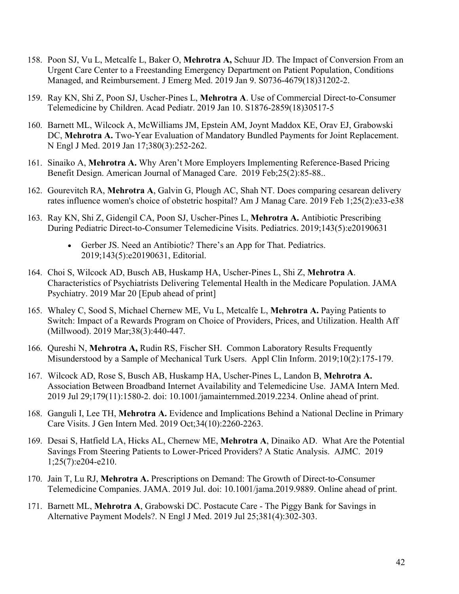- 158. Poon SJ, Vu L, Metcalfe L, Baker O, **Mehrotra A,** Schuur JD. The Impact of Conversion From an Urgent Care Center to a Freestanding Emergency Department on Patient Population, Conditions Managed, and Reimbursement. J Emerg Med. 2019 Jan 9. S0736-4679(18)31202-2.
- 159. Ray KN, Shi Z, Poon SJ, Uscher-Pines L, **Mehrotra A**. Use of Commercial Direct-to-Consumer Telemedicine by Children. Acad Pediatr. 2019 Jan 10. S1876-2859(18)30517-5
- 160. Barnett ML, Wilcock A, McWilliams JM, Epstein AM, Joynt Maddox KE, Orav EJ, Grabowski DC, **Mehrotra A.** Two-Year Evaluation of Mandatory Bundled Payments for Joint Replacement. N Engl J Med. 2019 Jan 17;380(3):252-262.
- 161. Sinaiko A, **Mehrotra A.** Why Aren't More Employers Implementing Reference-Based Pricing Benefit Design. American Journal of Managed Care. 2019 Feb;25(2):85-88..
- 162. Gourevitch RA, **Mehrotra A**, Galvin G, Plough AC, Shah NT. Does comparing cesarean delivery rates influence women's choice of obstetric hospital? Am J Manag Care. 2019 Feb 1;25(2):e33-e38
- 163. Ray KN, Shi Z, Gidengil CA, Poon SJ, Uscher-Pines L, **Mehrotra A.** Antibiotic Prescribing During Pediatric Direct-to-Consumer Telemedicine Visits. Pediatrics. 2019;143(5):e20190631
	- Gerber JS. Need an Antibiotic? There's an App for That. Pediatrics. 2019;143(5):e20190631, Editorial.
- 164. Choi S, Wilcock AD, Busch AB, Huskamp HA, Uscher-Pines L, Shi Z, **Mehrotra A**. Characteristics of Psychiatrists Delivering Telemental Health in the Medicare Population. JAMA Psychiatry. 2019 Mar 20 [Epub ahead of print]
- 165. Whaley C, Sood S, Michael Chernew ME, Vu L, Metcalfe L, **Mehrotra A.** Paying Patients to Switch: Impact of a Rewards Program on Choice of Providers, Prices, and Utilization. Health Aff (Millwood). 2019 Mar;38(3):440-447.
- 166. Qureshi N, **Mehrotra A,** Rudin RS, Fischer SH. Common Laboratory Results Frequently Misunderstood by a Sample of Mechanical Turk Users. Appl Clin Inform. 2019;10(2):175-179.
- 167. Wilcock AD, Rose S, Busch AB, Huskamp HA, Uscher-Pines L, Landon B, **Mehrotra A.** Association Between Broadband Internet Availability and Telemedicine Use. JAMA Intern Med. 2019 Jul 29;179(11):1580-2. doi: 10.1001/jamainternmed.2019.2234. Online ahead of print.
- 168. Ganguli I, Lee TH, **Mehrotra A.** Evidence and Implications Behind a National Decline in Primary Care Visits. J Gen Intern Med. 2019 Oct;34(10):2260-2263.
- 169. Desai S, Hatfield LA, Hicks AL, Chernew ME, **Mehrotra A**, Dinaiko AD. What Are the Potential Savings From Steering Patients to Lower-Priced Providers? A Static Analysis. AJMC. 2019 1;25(7):e204-e210.
- 170. Jain T, Lu RJ, **Mehrotra A.** Prescriptions on Demand: The Growth of Direct-to-Consumer Telemedicine Companies. JAMA. 2019 Jul. doi: 10.1001/jama.2019.9889. Online ahead of print.
- 171. Barnett ML, **Mehrotra A**, Grabowski DC. Postacute Care The Piggy Bank for Savings in Alternative Payment Models?. N Engl J Med. 2019 Jul 25;381(4):302-303.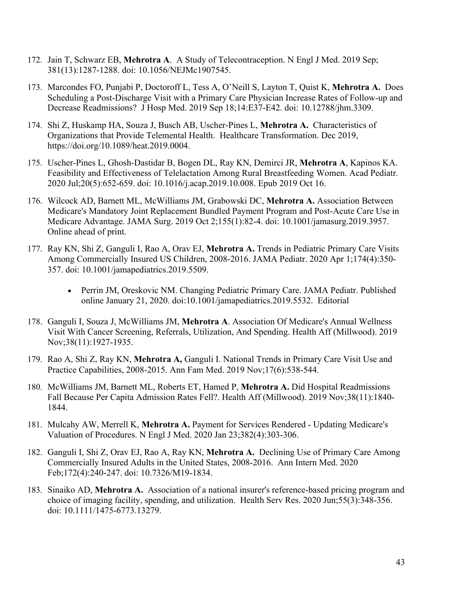- 172. Jain T, Schwarz EB, **Mehrotra A**. A Study of Telecontraception. N Engl J Med. 2019 Sep; 381(13):1287-1288. doi: 10.1056/NEJMc1907545.
- 173. Marcondes FO, Punjabi P, Doctoroff L, Tess A, O'Neill S, Layton T, Quist K, **Mehrotra A.** Does Scheduling a Post-Discharge Visit with a Primary Care Physician Increase Rates of Follow-up and Decrease Readmissions? J Hosp Med. 2019 Sep 18;14:E37-E42. doi: 10.12788/jhm.3309.
- 174. Shi Z, Huskamp HA, Souza J, Busch AB, Uscher-Pines L, **Mehrotra A.** Characteristics of Organizations that Provide Telemental Health. Healthcare Transformation. Dec 2019, https://doi.org/10.1089/heat.2019.0004.
- 175. Uscher-Pines L, Ghosh-Dastidar B, Bogen DL, Ray KN, Demirci JR, **Mehrotra A**, Kapinos KA. Feasibility and Effectiveness of Telelactation Among Rural Breastfeeding Women. Acad Pediatr. 2020 Jul;20(5):652-659. doi: 10.1016/j.acap.2019.10.008. Epub 2019 Oct 16.
- 176. Wilcock AD, Barnett ML, McWilliams JM, Grabowski DC, **Mehrotra A.** Association Between Medicare's Mandatory Joint Replacement Bundled Payment Program and Post-Acute Care Use in Medicare Advantage. JAMA Surg. 2019 Oct 2;155(1):82-4. doi: 10.1001/jamasurg.2019.3957. Online ahead of print.
- 177. Ray KN, Shi Z, Ganguli I, Rao A, Orav EJ, **Mehrotra A.** Trends in Pediatric Primary Care Visits Among Commercially Insured US Children, 2008-2016. JAMA Pediatr. 2020 Apr 1;174(4):350- 357. doi: 10.1001/jamapediatrics.2019.5509.
	- Perrin JM, Oreskovic NM. Changing Pediatric Primary Care. JAMA Pediatr. Published online January 21, 2020. doi:10.1001/jamapediatrics.2019.5532. Editorial
- 178. Ganguli I, Souza J, McWilliams JM, **Mehrotra A**. Association Of Medicare's Annual Wellness Visit With Cancer Screening, Referrals, Utilization, And Spending. Health Aff (Millwood). 2019 Nov;38(11):1927-1935.
- 179. Rao A, Shi Z, Ray KN, **Mehrotra A,** Ganguli I. National Trends in Primary Care Visit Use and Practice Capabilities, 2008-2015. Ann Fam Med. 2019 Nov;17(6):538-544.
- 180. McWilliams JM, Barnett ML, Roberts ET, Hamed P, **Mehrotra A.** Did Hospital Readmissions Fall Because Per Capita Admission Rates Fell?. Health Aff (Millwood). 2019 Nov;38(11):1840- 1844.
- 181. Mulcahy AW, Merrell K, **Mehrotra A.** Payment for Services Rendered Updating Medicare's Valuation of Procedures. N Engl J Med. 2020 Jan 23;382(4):303-306.
- 182. Ganguli I, Shi Z, Orav EJ, Rao A, Ray KN, **Mehrotra A.** Declining Use of Primary Care Among Commercially Insured Adults in the United States, 2008-2016. Ann Intern Med. 2020 Feb;172(4):240-247. doi: 10.7326/M19-1834.
- 183. Sinaiko AD, Mehrotra A. Association of a national insurer's reference-based pricing program and choice of imaging facility, spending, and utilization. Health Serv Res. 2020 Jun;55(3):348-356. doi: 10.1111/1475-6773.13279.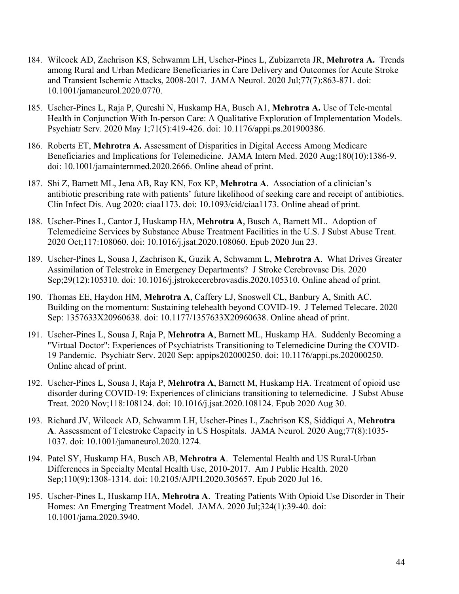- 184. Wilcock AD, Zachrison KS, Schwamm LH, Uscher-Pines L, Zubizarreta JR, **Mehrotra A.** Trends among Rural and Urban Medicare Beneficiaries in Care Delivery and Outcomes for Acute Stroke and Transient Ischemic Attacks, 2008-2017. JAMA Neurol. 2020 Jul;77(7):863-871. doi: 10.1001/jamaneurol.2020.0770.
- 185. Uscher-Pines L, Raja P, Qureshi N, Huskamp HA, Busch A1, **Mehrotra A.** Use of Tele-mental Health in Conjunction With In-person Care: A Qualitative Exploration of Implementation Models. Psychiatr Serv. 2020 May 1;71(5):419-426. doi: 10.1176/appi.ps.201900386.
- 186. Roberts ET, **Mehrotra A.** Assessment of Disparities in Digital Access Among Medicare Beneficiaries and Implications for Telemedicine. JAMA Intern Med. 2020 Aug;180(10):1386-9. doi: 10.1001/jamainternmed.2020.2666. Online ahead of print.
- 187. Shi Z, Barnett ML, Jena AB, Ray KN, Fox KP, **Mehrotra A**. Association of a clinician's antibiotic prescribing rate with patients' future likelihood of seeking care and receipt of antibiotics. Clin Infect Dis. Aug 2020: ciaa1173. doi: 10.1093/cid/ciaa1173. Online ahead of print.
- 188. Uscher-Pines L, Cantor J, Huskamp HA, **Mehrotra A**, Busch A, Barnett ML. Adoption of Telemedicine Services by Substance Abuse Treatment Facilities in the U.S. J Subst Abuse Treat. 2020 Oct;117:108060. doi: 10.1016/j.jsat.2020.108060. Epub 2020 Jun 23.
- 189. Uscher-Pines L, Sousa J, Zachrison K, Guzik A, Schwamm L, **Mehrotra A**. What Drives Greater Assimilation of Telestroke in Emergency Departments? J Stroke Cerebrovasc Dis. 2020 Sep;29(12):105310. doi: 10.1016/j.jstrokecerebrovasdis.2020.105310. Online ahead of print.
- 190. Thomas EE, Haydon HM, **Mehrotra A**, Caffery LJ, Snoswell CL, Banbury A, Smith AC. Building on the momentum: Sustaining telehealth beyond COVID-19. J Telemed Telecare. 2020 Sep: 1357633X20960638. doi: 10.1177/1357633X20960638. Online ahead of print.
- 191. Uscher-Pines L, Sousa J, Raja P, **Mehrotra A**, Barnett ML, Huskamp HA. Suddenly Becoming a "Virtual Doctor": Experiences of Psychiatrists Transitioning to Telemedicine During the COVID-19 Pandemic. Psychiatr Serv. 2020 Sep: appips202000250. doi: 10.1176/appi.ps.202000250. Online ahead of print.
- 192. Uscher-Pines L, Sousa J, Raja P, **Mehrotra A**, Barnett M, Huskamp HA. Treatment of opioid use disorder during COVID-19: Experiences of clinicians transitioning to telemedicine. J Subst Abuse Treat. 2020 Nov;118:108124. doi: 10.1016/j.jsat.2020.108124. Epub 2020 Aug 30.
- 193. Richard JV, Wilcock AD, Schwamm LH, Uscher-Pines L, Zachrison KS, Siddiqui A, **Mehrotra A**. Assessment of Telestroke Capacity in US Hospitals. JAMA Neurol. 2020 Aug;77(8):1035- 1037. doi: 10.1001/jamaneurol.2020.1274.
- 194. Patel SY, Huskamp HA, Busch AB, **Mehrotra A**. Telemental Health and US Rural-Urban Differences in Specialty Mental Health Use, 2010-2017. Am J Public Health. 2020 Sep;110(9):1308-1314. doi: 10.2105/AJPH.2020.305657. Epub 2020 Jul 16.
- 195. Uscher-Pines L, Huskamp HA, **Mehrotra A**. Treating Patients With Opioid Use Disorder in Their Homes: An Emerging Treatment Model. JAMA. 2020 Jul;324(1):39-40. doi: 10.1001/jama.2020.3940.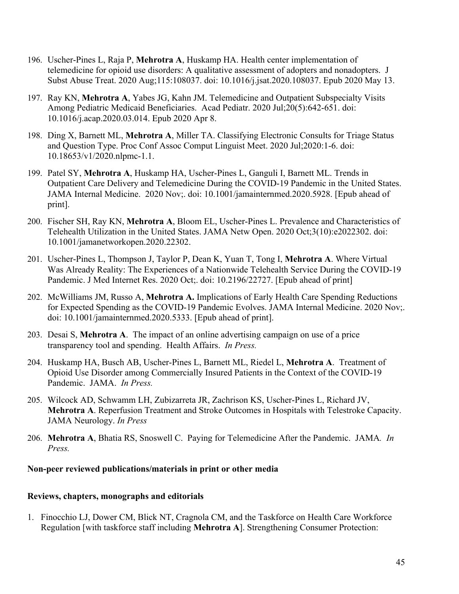- 196. Uscher-Pines L, Raja P, **Mehrotra A**, Huskamp HA. Health center implementation of telemedicine for opioid use disorders: A qualitative assessment of adopters and nonadopters. J Subst Abuse Treat. 2020 Aug;115:108037. doi: 10.1016/j.jsat.2020.108037. Epub 2020 May 13.
- 197. Ray KN, **Mehrotra A**, Yabes JG, Kahn JM. Telemedicine and Outpatient Subspecialty Visits Among Pediatric Medicaid Beneficiaries. Acad Pediatr. 2020 Jul;20(5):642-651. doi: 10.1016/j.acap.2020.03.014. Epub 2020 Apr 8.
- 198. Ding X, Barnett ML, **Mehrotra A**, Miller TA. Classifying Electronic Consults for Triage Status and Question Type. Proc Conf Assoc Comput Linguist Meet. 2020 Jul;2020:1-6. doi: 10.18653/v1/2020.nlpmc-1.1.
- 199. Patel SY, **Mehrotra A**, Huskamp HA, Uscher-Pines L, Ganguli I, Barnett ML. Trends in Outpatient Care Delivery and Telemedicine During the COVID-19 Pandemic in the United States. JAMA Internal Medicine. 2020 Nov;. doi: 10.1001/jamainternmed.2020.5928. [Epub ahead of print].
- 200. Fischer SH, Ray KN, **Mehrotra A**, Bloom EL, Uscher-Pines L. Prevalence and Characteristics of Telehealth Utilization in the United States. JAMA Netw Open. 2020 Oct;3(10):e2022302. doi: 10.1001/jamanetworkopen.2020.22302.
- 201. Uscher-Pines L, Thompson J, Taylor P, Dean K, Yuan T, Tong I, **Mehrotra A**. Where Virtual Was Already Reality: The Experiences of a Nationwide Telehealth Service During the COVID-19 Pandemic. J Med Internet Res. 2020 Oct;. doi: 10.2196/22727. [Epub ahead of print]
- 202. McWilliams JM, Russo A, **Mehrotra A.** Implications of Early Health Care Spending Reductions for Expected Spending as the COVID-19 Pandemic Evolves. JAMA Internal Medicine. 2020 Nov;. doi: 10.1001/jamainternmed.2020.5333. [Epub ahead of print].
- 203. Desai S, **Mehrotra A**. The impact of an online advertising campaign on use of a price transparency tool and spending. Health Affairs. *In Press.*
- 204. Huskamp HA, Busch AB, Uscher-Pines L, Barnett ML, Riedel L, **Mehrotra A**. Treatment of Opioid Use Disorder among Commercially Insured Patients in the Context of the COVID-19 Pandemic. JAMA. *In Press.*
- 205. Wilcock AD, Schwamm LH, Zubizarreta JR, Zachrison KS, Uscher-Pines L, Richard JV, **Mehrotra A**. Reperfusion Treatment and Stroke Outcomes in Hospitals with Telestroke Capacity. JAMA Neurology. *In Press*
- 206. **Mehrotra A**, Bhatia RS, Snoswell C. Paying for Telemedicine After the Pandemic. JAMA*. In Press.*

### **Non-peer reviewed publications/materials in print or other media**

### **Reviews, chapters, monographs and editorials**

1. Finocchio LJ, Dower CM, Blick NT, Cragnola CM, and the Taskforce on Health Care Workforce Regulation [with taskforce staff including **Mehrotra A**]. Strengthening Consumer Protection: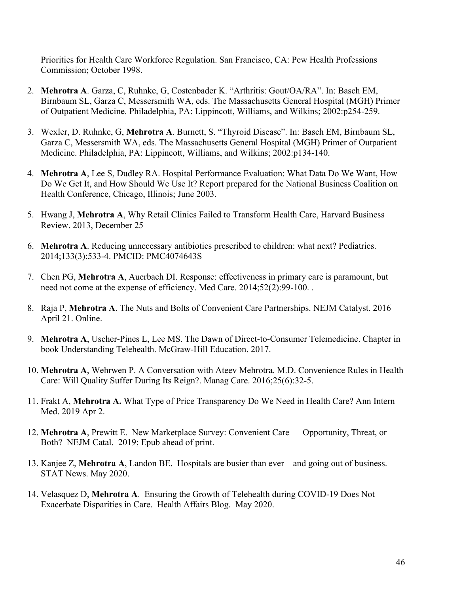Priorities for Health Care Workforce Regulation. San Francisco, CA: Pew Health Professions Commission; October 1998.

- 2. **Mehrotra A**. Garza, C, Ruhnke, G, Costenbader K. "Arthritis: Gout/OA/RA". In: Basch EM, Birnbaum SL, Garza C, Messersmith WA, eds. The Massachusetts General Hospital (MGH) Primer of Outpatient Medicine. Philadelphia, PA: Lippincott, Williams, and Wilkins; 2002:p254-259.
- 3. Wexler, D. Ruhnke, G, **Mehrotra A**. Burnett, S. "Thyroid Disease". In: Basch EM, Birnbaum SL, Garza C, Messersmith WA, eds. The Massachusetts General Hospital (MGH) Primer of Outpatient Medicine. Philadelphia, PA: Lippincott, Williams, and Wilkins; 2002:p134-140.
- 4. **Mehrotra A**, Lee S, Dudley RA. Hospital Performance Evaluation: What Data Do We Want, How Do We Get It, and How Should We Use It? Report prepared for the National Business Coalition on Health Conference, Chicago, Illinois; June 2003.
- 5. Hwang J, **Mehrotra A**, Why Retail Clinics Failed to Transform Health Care, Harvard Business Review. 2013, December 25
- 6. **Mehrotra A**. Reducing unnecessary antibiotics prescribed to children: what next? Pediatrics. 2014;133(3):533-4. PMCID: PMC4074643S
- 7. Chen PG, **Mehrotra A**, Auerbach DI. Response: effectiveness in primary care is paramount, but need not come at the expense of efficiency. Med Care. 2014;52(2):99-100. .
- 8. Raja P, **Mehrotra A**. The Nuts and Bolts of Convenient Care Partnerships. NEJM Catalyst. 2016 April 21. Online.
- 9. **Mehrotra A**, Uscher-Pines L, Lee MS. The Dawn of Direct-to-Consumer Telemedicine. Chapter in book Understanding Telehealth. McGraw-Hill Education. 2017.
- 10. **Mehrotra A**, Wehrwen P. A Conversation with Ateev Mehrotra. M.D. Convenience Rules in Health Care: Will Quality Suffer During Its Reign?. Manag Care. 2016;25(6):32-5.
- 11. Frakt A, **Mehrotra A.** What Type of Price Transparency Do We Need in Health Care? Ann Intern Med. 2019 Apr 2.
- 12. **Mehrotra A**, Prewitt E. New Marketplace Survey: Convenient Care Opportunity, Threat, or Both? NEJM Catal. 2019; Epub ahead of print.
- 13. Kanjee Z, **Mehrotra A**, Landon BE. Hospitals are busier than ever and going out of business. STAT News. May 2020.
- 14. Velasquez D, **Mehrotra A**. Ensuring the Growth of Telehealth during COVID-19 Does Not Exacerbate Disparities in Care. Health Affairs Blog. May 2020.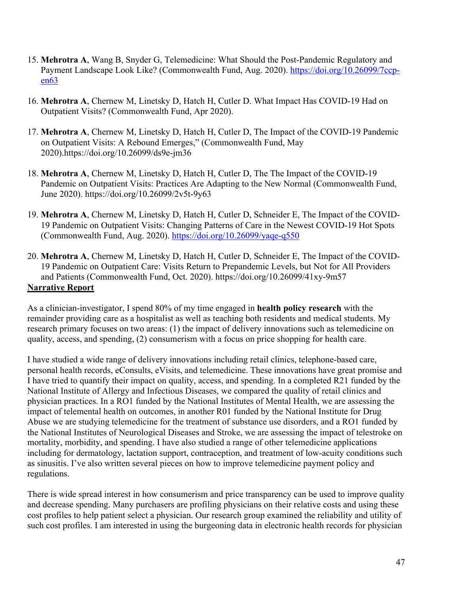- 15. **Mehrotra A**, Wang B, Snyder G, Telemedicine: What Should the Post-Pandemic Regulatory and Payment Landscape Look Like? (Commonwealth Fund, Aug. 2020). https://doi.org/10.26099/7ccpen63
- 16. **Mehrotra A**, Chernew M, Linetsky D, Hatch H, Cutler D. What Impact Has COVID-19 Had on Outpatient Visits? (Commonwealth Fund, Apr 2020).
- 17. **Mehrotra A**, Chernew M, Linetsky D, Hatch H, Cutler D, The Impact of the COVID-19 Pandemic on Outpatient Visits: A Rebound Emerges," (Commonwealth Fund, May 2020).https://doi.org/10.26099/ds9e-jm36
- 18. **Mehrotra A**, Chernew M, Linetsky D, Hatch H, Cutler D, The The Impact of the COVID-19 Pandemic on Outpatient Visits: Practices Are Adapting to the New Normal (Commonwealth Fund, June 2020). https://doi.org/10.26099/2v5t-9y63
- 19. **Mehrotra A**, Chernew M, Linetsky D, Hatch H, Cutler D, Schneider E, The Impact of the COVID-19 Pandemic on Outpatient Visits: Changing Patterns of Care in the Newest COVID-19 Hot Spots (Commonwealth Fund, Aug. 2020). https://doi.org/10.26099/yaqe-q550
- 20. **Mehrotra A**, Chernew M, Linetsky D, Hatch H, Cutler D, Schneider E, The Impact of the COVID-19 Pandemic on Outpatient Care: Visits Return to Prepandemic Levels, but Not for All Providers and Patients (Commonwealth Fund, Oct. 2020). https://doi.org/10.26099/41xy-9m57 **Narrative Report**

As a clinician-investigator, I spend 80% of my time engaged in **health policy research** with the remainder providing care as a hospitalist as well as teaching both residents and medical students. My research primary focuses on two areas: (1) the impact of delivery innovations such as telemedicine on quality, access, and spending, (2) consumerism with a focus on price shopping for health care.

I have studied a wide range of delivery innovations including retail clinics, telephone-based care, personal health records, eConsults, eVisits, and telemedicine. These innovations have great promise and I have tried to quantify their impact on quality, access, and spending. In a completed R21 funded by the National Institute of Allergy and Infectious Diseases, we compared the quality of retail clinics and physician practices. In a RO1 funded by the National Institutes of Mental Health, we are assessing the impact of telemental health on outcomes, in another R01 funded by the National Institute for Drug Abuse we are studying telemedicine for the treatment of substance use disorders, and a RO1 funded by the National Institutes of Neurological Diseases and Stroke, we are assessing the impact of telestroke on mortality, morbidity, and spending. I have also studied a range of other telemedicine applications including for dermatology, lactation support, contraception, and treatment of low-acuity conditions such as sinusitis. I've also written several pieces on how to improve telemedicine payment policy and regulations.

There is wide spread interest in how consumerism and price transparency can be used to improve quality and decrease spending. Many purchasers are profiling physicians on their relative costs and using these cost profiles to help patient select a physician. Our research group examined the reliability and utility of such cost profiles. I am interested in using the burgeoning data in electronic health records for physician